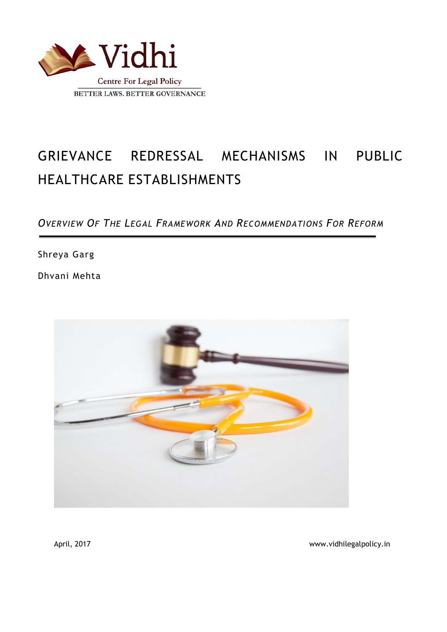

# GRIEVANCE REDRESSAL MECHANISMS IN PUBLIC HEALTHCARE ESTABLISHMENTS

# *OVERVIEW OF THE LEGAL FRAMEWORK AND RECOMMENDATIONS FOR REFORM*

Shreya Garg

Dhvani Mehta



April, 2017 November 2017 and the set of the set of the set of the www.vidhilegalpolicy.in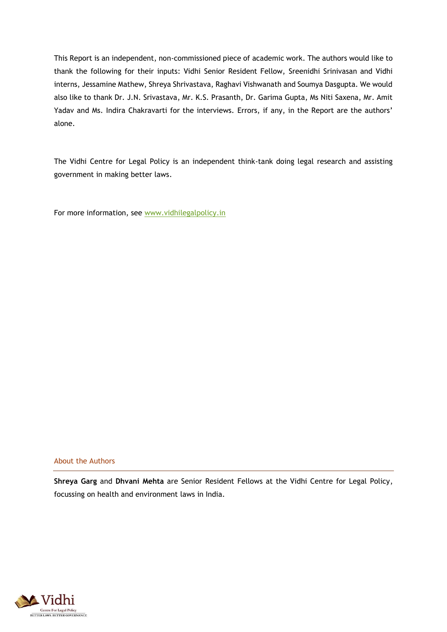This Report is an independent, non-commissioned piece of academic work. The authors would like to thank the following for their inputs: Vidhi Senior Resident Fellow, Sreenidhi Srinivasan and Vidhi interns, Jessamine Mathew, Shreya Shrivastava, Raghavi Vishwanath and Soumya Dasgupta. We would also like to thank Dr. J.N. Srivastava, Mr. K.S. Prasanth, Dr. Garima Gupta, Ms Niti Saxena, Mr. Amit Yadav and Ms. Indira Chakravarti for the interviews. Errors, if any, in the Report are the authors' alone.

The Vidhi Centre for Legal Policy is an independent think-tank doing legal research and assisting government in making better laws.

For more information, see [www.vidhilegalpolicy.in](http://www.vidhilegalpolicy.in/)

#### About the Authors

**Shreya Garg** and **Dhvani Mehta** are Senior Resident Fellows at the Vidhi Centre for Legal Policy, focussing on health and environment laws in India.

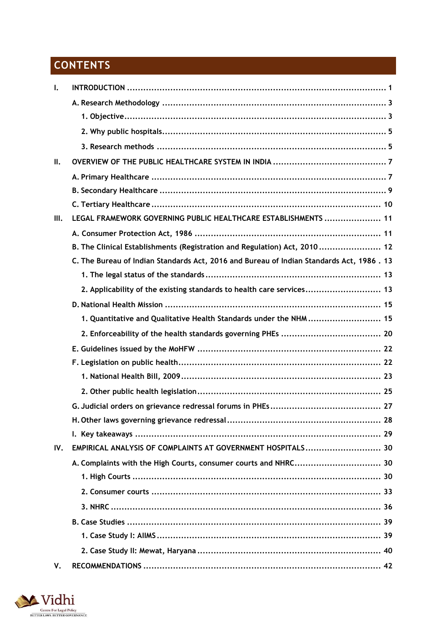# **CONTENTS**

| Ι.   |                                                                                          |
|------|------------------------------------------------------------------------------------------|
|      |                                                                                          |
|      |                                                                                          |
|      |                                                                                          |
|      |                                                                                          |
| ΙΙ.  |                                                                                          |
|      |                                                                                          |
|      |                                                                                          |
|      |                                                                                          |
| III. | LEGAL FRAMEWORK GOVERNING PUBLIC HEALTHCARE ESTABLISHMENTS  11                           |
|      |                                                                                          |
|      | B. The Clinical Establishments (Registration and Regulation) Act, 2010 12                |
|      | C. The Bureau of Indian Standards Act, 2016 and Bureau of Indian Standards Act, 1986. 13 |
|      |                                                                                          |
|      | 2. Applicability of the existing standards to health care services 13                    |
|      |                                                                                          |
|      | 1. Quantitative and Qualitative Health Standards under the NHM  15                       |
|      |                                                                                          |
|      |                                                                                          |
|      |                                                                                          |
|      |                                                                                          |
|      |                                                                                          |
|      |                                                                                          |
|      |                                                                                          |
|      |                                                                                          |
| IV.  | EMPIRICAL ANALYSIS OF COMPLAINTS AT GOVERNMENT HOSPITALS 30                              |
|      | A. Complaints with the High Courts, consumer courts and NHRC 30                          |
|      |                                                                                          |
|      |                                                                                          |
|      |                                                                                          |
|      |                                                                                          |
|      |                                                                                          |
|      |                                                                                          |
| V.   |                                                                                          |

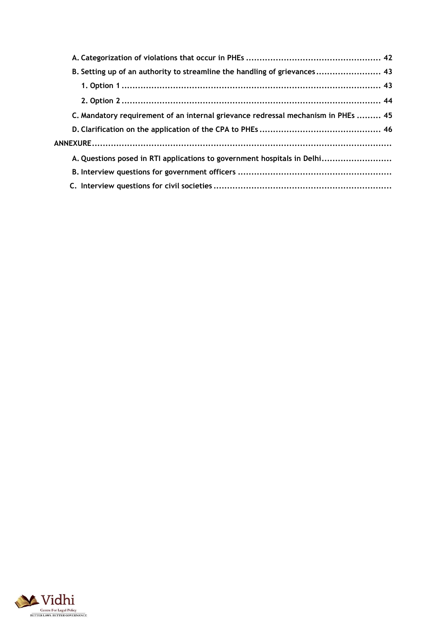| B. Setting up of an authority to streamline the handling of grievances 43         |
|-----------------------------------------------------------------------------------|
| 1. Option 1 ………………………………………………………………………………………… 43                                 |
| 2. Option 2 ………………………………………………………………………………………… 44                                 |
| C. Mandatory requirement of an internal grievance redressal mechanism in PHEs  45 |
|                                                                                   |
|                                                                                   |
| A. Questions posed in RTI applications to government hospitals in Delhi           |
|                                                                                   |
|                                                                                   |

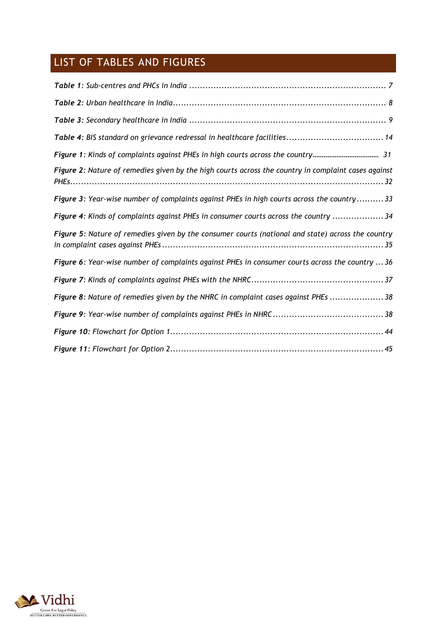# LIST OF TABLES AND FIGURES

| Figure 1: Kinds of complaints against PHEs in high courts across the country 31                     |
|-----------------------------------------------------------------------------------------------------|
| Figure 2: Nature of remedies given by the high courts across the country in complaint cases against |
| Figure 3: Year-wise number of complaints against PHEs in high courts across the country 33          |
| Figure 4: Kinds of complaints against PHEs in consumer courts across the country  34                |
| Figure 5: Nature of remedies given by the consumer courts (national and state) across the country   |
| Figure 6: Year-wise number of complaints against PHEs in consumer courts across the country  36     |
|                                                                                                     |
| Figure 8: Nature of remedies given by the NHRC in complaint cases against PHEs 38                   |
|                                                                                                     |
|                                                                                                     |
|                                                                                                     |

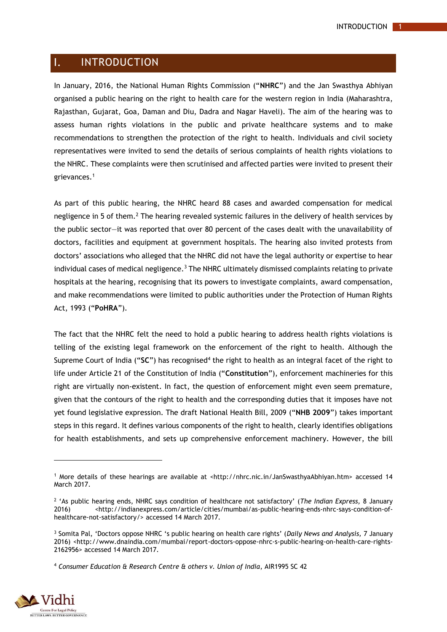#### <span id="page-5-0"></span> $\mathbf{L}$ INTRODUCTION

In January, 2016, the National Human Rights Commission ("**NHRC**") and the Jan Swasthya Abhiyan organised a public hearing on the right to health care for the western region in India (Maharashtra, Rajasthan, Gujarat, Goa, Daman and Diu, Dadra and Nagar Haveli). The aim of the hearing was to assess human rights violations in the public and private healthcare systems and to make recommendations to strengthen the protection of the right to health. Individuals and civil society representatives were invited to send the details of serious complaints of health rights violations to the NHRC. These complaints were then scrutinised and affected parties were invited to present their grievances.<sup>1</sup>

As part of this public hearing, the NHRC heard 88 cases and awarded compensation for medical negligence in 5 of them.<sup>2</sup> The hearing revealed systemic failures in the delivery of health services by the public sector—it was reported that over 80 percent of the cases dealt with the unavailability of doctors, facilities and equipment at government hospitals. The hearing also invited protests from doctors' associations who alleged that the NHRC did not have the legal authority or expertise to hear individual cases of medical negligence. $3$  The NHRC ultimately dismissed complaints relating to private hospitals at the hearing, recognising that its powers to investigate complaints, award compensation, and make recommendations were limited to public authorities under the Protection of Human Rights Act, 1993 ("**PoHRA**").

The fact that the NHRC felt the need to hold a public hearing to address health rights violations is telling of the existing legal framework on the enforcement of the right to health. Although the Supreme Court of India ("SC") has recognised<sup>4</sup> the right to health as an integral facet of the right to life under Article 21 of the Constitution of India ("**Constitution**"), enforcement machineries for this right are virtually non-existent. In fact, the question of enforcement might even seem premature, given that the contours of the right to health and the corresponding duties that it imposes have not yet found legislative expression. The draft National Health Bill, 2009 ("**NHB 2009**") takes important steps in this regard. It defines various components of the right to health, clearly identifies obligations for health establishments, and sets up comprehensive enforcement machinery. However, the bill

<sup>4</sup> *Consumer Education & Research Centre & others v. Union of India*, AIR1995 SC 42



 $1$  More details of these hearings are available at <http://nhrc.nic.in/JanSwasthyaAbhiyan.htm> accessed 14 March 2017.

<sup>2</sup> 'As public hearing ends, NHRC says condition of healthcare not satisfactory' (*The Indian Express,* 8 January 2016) <http://indianexpress.com/article/cities/mumbai/as-public-hearing-ends-nhrc-says-condition-ofhealthcare-not-satisfactory/> accessed 14 March 2017.

<sup>3</sup> Somita Pal, 'Doctors oppose NHRC 's public hearing on health care rights' (*Daily News and Analysis,* 7 January 2016) <http://www.dnaindia.com/mumbai/report-doctors-oppose-nhrc-s-public-hearing-on-health-care-rights-2162956> accessed 14 March 2017.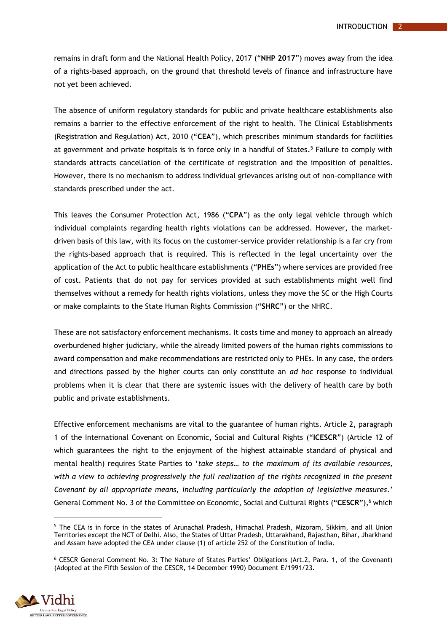remains in draft form and the National Health Policy, 2017 ("**NHP 2017**") moves away from the idea of a rights-based approach, on the ground that threshold levels of finance and infrastructure have not yet been achieved.

The absence of uniform regulatory standards for public and private healthcare establishments also remains a barrier to the effective enforcement of the right to health. The Clinical Establishments (Registration and Regulation) Act, 2010 ("**CEA**"), which prescribes minimum standards for facilities at government and private hospitals is in force only in a handful of States. <sup>5</sup> Failure to comply with standards attracts cancellation of the certificate of registration and the imposition of penalties. However, there is no mechanism to address individual grievances arising out of non-compliance with standards prescribed under the act.

This leaves the Consumer Protection Act, 1986 ("**CPA**") as the only legal vehicle through which individual complaints regarding health rights violations can be addressed. However, the marketdriven basis of this law, with its focus on the customer-service provider relationship is a far cry from the rights-based approach that is required. This is reflected in the legal uncertainty over the application of the Act to public healthcare establishments ("**PHEs**") where services are provided free of cost. Patients that do not pay for services provided at such establishments might well find themselves without a remedy for health rights violations, unless they move the SC or the High Courts or make complaints to the State Human Rights Commission ("**SHRC**") or the NHRC.

These are not satisfactory enforcement mechanisms. It costs time and money to approach an already overburdened higher judiciary, while the already limited powers of the human rights commissions to award compensation and make recommendations are restricted only to PHEs. In any case, the orders and directions passed by the higher courts can only constitute an *ad hoc* response to individual problems when it is clear that there are systemic issues with the delivery of health care by both public and private establishments.

Effective enforcement mechanisms are vital to the guarantee of human rights. Article 2, paragraph 1 of the International Covenant on Economic, Social and Cultural Rights ("**ICESCR**") (Article 12 of which guarantees the right to the enjoyment of the highest attainable standard of physical and mental health) requires State Parties to '*take steps… to the maximum of its available resources, with a view to achieving progressively the full realization of the rights recognized in the present Covenant by all appropriate means, including particularly the adoption of legislative measures*.' General Comment No. 3 of the Committee on Economic, Social and Cultural Rights ("**CESCR**"), <sup>6</sup> which

<sup>6</sup> CESCR General Comment No. 3: The Nature of States Parties' Obligations (Art.2, Para. 1, of the Covenant) (Adopted at the Fifth Session of the CESCR, 14 December 1990) Document E/1991/23.



<sup>5</sup> The CEA is in force in the states of Arunachal Pradesh, Himachal Pradesh, Mizoram, Sikkim, and all Union Territories except the NCT of Delhi. Also, the States of Uttar Pradesh, Uttarakhand, Rajasthan, Bihar, Jharkhand and Assam have adopted the CEA under clause (1) of article 252 of the Constitution of India.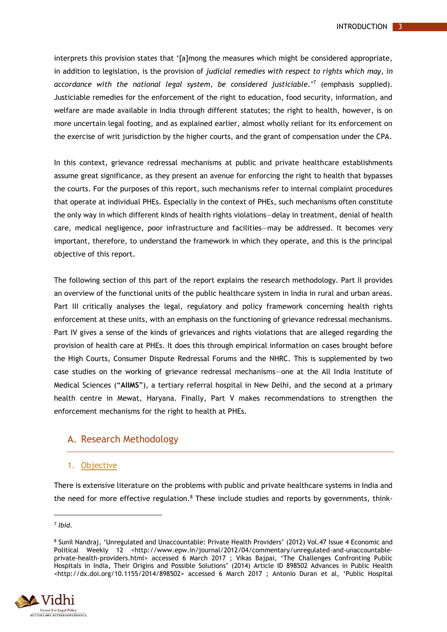interprets this provision states that '[a]mong the measures which might be considered appropriate, in addition to legislation, is the provision of *judicial remedies with respect to rights which may, in accordance with the national legal system, be considered justiciable.*' 7 (emphasis supplied). Justiciable remedies for the enforcement of the right to education, food security, information, and welfare are made available in India through different statutes; the right to health, however, is on more uncertain legal footing, and as explained earlier, almost wholly reliant for its enforcement on the exercise of writ jurisdiction by the higher courts, and the grant of compensation under the CPA.

In this context, grievance redressal mechanisms at public and private healthcare establishments assume great significance, as they present an avenue for enforcing the right to health that bypasses the courts. For the purposes of this report, such mechanisms refer to internal complaint procedures that operate at individual PHEs. Especially in the context of PHEs, such mechanisms often constitute the only way in which different kinds of health rights violations—delay in treatment, denial of health care, medical negligence, poor infrastructure and facilities—may be addressed. It becomes very important, therefore, to understand the framework in which they operate, and this is the principal objective of this report.

The following section of this part of the report explains the research methodology. Part II provides an overview of the functional units of the public healthcare system in India in rural and urban areas. Part III critically analyses the legal, regulatory and policy framework concerning health rights enforcement at these units, with an emphasis on the functioning of grievance redressal mechanisms. Part IV gives a sense of the kinds of grievances and rights violations that are alleged regarding the provision of health care at PHEs. It does this through empirical information on cases brought before the High Courts, Consumer Dispute Redressal Forums and the NHRC. This is supplemented by two case studies on the working of grievance redressal mechanisms—one at the All India Institute of Medical Sciences ("**AIIMS**"), a tertiary referral hospital in New Delhi, and the second at a primary health centre in Mewat, Haryana. Finally, Part V makes recommendations to strengthen the enforcement mechanisms for the right to health at PHEs.

### <span id="page-7-0"></span>A. Research Methodology

#### <span id="page-7-1"></span>1. Objective

There is extensive literature on the problems with public and private healthcare systems in India and the need for more effective regulation.<sup>8</sup> These include studies and reports by governments, think-

<sup>8</sup> Sunil Nandraj, 'Unregulated and Unaccountable: Private Health Providers' (2012) Vol.47 Issue 4 Economic and Political Weekly 12 <http://www.epw.in/journal/2012/04/commentary/unregulated-and-unaccountableprivate-health-providers.html> accessed 6 March 2017 ; Vikas Bajpai, 'The Challenges Confronting Public Hospitals in India, Their Origins and Possible Solutions' (2014) Article ID 898502 Advances in Public Health [<http://dx.doi.org/10.1155/2014/898502](http://dx.doi.org/10.1155/2014/898502)> accessed 6 March 2017 ; Antonio Duran et al, 'Public Hospital



<sup>7</sup> *Ibid*.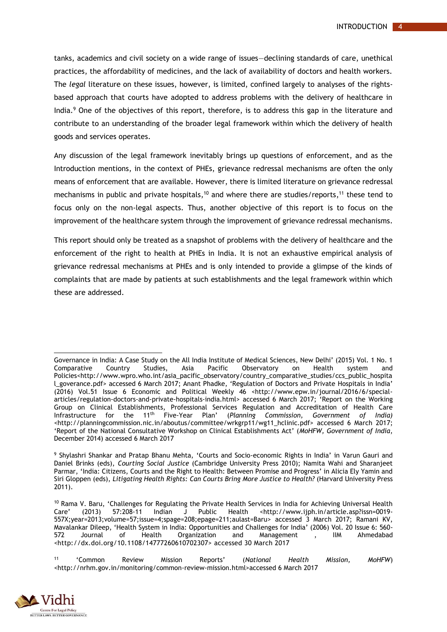tanks, academics and civil society on a wide range of issues—declining standards of care, unethical practices, the affordability of medicines, and the lack of availability of doctors and health workers. The *legal* literature on these issues, however, is limited, confined largely to analyses of the rightsbased approach that courts have adopted to address problems with the delivery of healthcare in India.<sup>9</sup> One of the objectives of this report, therefore, is to address this gap in the literature and contribute to an understanding of the broader legal framework within which the delivery of health goods and services operates.

Any discussion of the legal framework inevitably brings up questions of enforcement, and as the Introduction mentions, in the context of PHEs, grievance redressal mechanisms are often the only means of enforcement that are available. However, there is limited literature on grievance redressal mechanisms in public and private hospitals,<sup>10</sup> and where there are studies/reports,<sup>11</sup> these tend to focus only on the non-legal aspects. Thus, another objective of this report is to focus on the improvement of the healthcare system through the improvement of grievance redressal mechanisms.

This report should only be treated as a snapshot of problems with the delivery of healthcare and the enforcement of the right to health at PHEs in India. It is not an exhaustive empirical analysis of grievance redressal mechanisms at PHEs and is only intended to provide a glimpse of the kinds of complaints that are made by patients at such establishments and the legal framework within which these are addressed.

<sup>11</sup> 'Common Review Mission Reports' (*National Health Mission, MoHFW*) <http://nrhm.gov.in/monitoring/common-review-mission.html>accessed 6 March 2017



<sup>1</sup> Governance in India: A Case Study on the All India Institute of Medical Sciences, New Delhi' (2015) Vol. 1 No. 1 Comparative Country Studies, Asia Pacific Observatory on Health system and Policies[<http://www.wpro.who.int/asia\\_pacific\\_observatory/country\\_comparative\\_studies/ccs\\_public\\_hospita](http://www.wpro.who.int/asia_pacific_observatory/country_comparative_studies/ccs_public_hospital_goverance.pdf) [l\\_goverance.pdf](http://www.wpro.who.int/asia_pacific_observatory/country_comparative_studies/ccs_public_hospital_goverance.pdf)> accessed 6 March 2017; Anant Phadke, 'Regulation of Doctors and Private Hospitals in India' (2016) Vol.51 Issue 6 Economic and Political Weekly 46 <http://www.epw.in/journal/2016/6/specialarticles/regulation-doctors-and-private-hospitals-india.html> accessed 6 March 2017; 'Report on the Working Group on Clinical Establishments, Professional Services Regulation and Accreditation of Health Care<br>Infrastructure for the 11<sup>th</sup> Five-Year Plan' (Planning Commission, Government of India) Infrastructure for the 11th Five-Year Plan' (*Planning Commission, Government of India)*  <http://planningcommission.nic.in/aboutus/committee/wrkgrp11/wg11\_hclinic.pdf> accessed 6 March 2017; 'Report of the National Consultative Workshop on Clinical Establishments Act' (*MoHFW, Government of India*, December 2014) accessed 6 March 2017

<sup>9</sup> Shylashri Shankar and Pratap Bhanu Mehta, 'Courts and Socio-economic Rights in India' in Varun Gauri and Daniel Brinks (eds), *Courting Social Justice* (Cambridge University Press 2010); Namita Wahi and Sharanjeet Parmar, 'India: Citizens, Courts and the Right to Health: Between Promise and Progress' in Alicia Ely Yamin and Siri Gloppen (eds), *Litigating Health Rights: Can Courts Bring More Justice to Health?* (Harvard University Press 2011).

<sup>10</sup> Rama V. Baru, 'Challenges for Regulating the Private Health Services in India for Achieving Universal Health Care' (2013) 57:208-11 Indian J Public Health [<http://www.ijph.in/article.asp?issn=0019-](http://www.ijph.in/article.asp?issn=0019-557X;year=2013;volume=57;issue=4;spage=208;epage=211;aulast=Baru) [557X;year=2013;volume=57;issue=4;spage=208;epage=211;aulast=Baru>](http://www.ijph.in/article.asp?issn=0019-557X;year=2013;volume=57;issue=4;spage=208;epage=211;aulast=Baru) accessed 3 March 2017; Ramani KV, Mavalankar Dileep, 'Health System in India: Opportunities and Challenges for India' (2006) Vol. 20 Issue 6: 560- 572 Journal of Health Organization and Management , IIM Ahmedabad <http://dx.doi.org/10.1108/14777260610702307> accessed 30 March 2017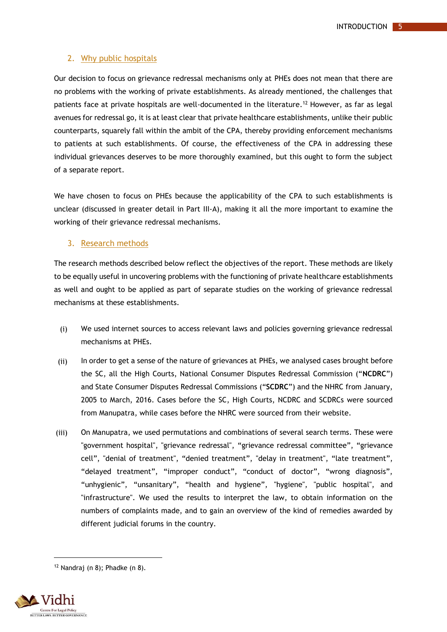#### <span id="page-9-0"></span>2. Why public hospitals

Our decision to focus on grievance redressal mechanisms only at PHEs does not mean that there are no problems with the working of private establishments. As already mentioned, the challenges that patients face at private hospitals are well-documented in the literature. <sup>12</sup> However, as far as legal avenues for redressal go, it is at least clear that private healthcare establishments, unlike their public counterparts, squarely fall within the ambit of the CPA, thereby providing enforcement mechanisms to patients at such establishments. Of course, the effectiveness of the CPA in addressing these individual grievances deserves to be more thoroughly examined, but this ought to form the subject of a separate report.

We have chosen to focus on PHEs because the applicability of the CPA to such establishments is unclear (discussed in greater detail in Part III-A), making it all the more important to examine the working of their grievance redressal mechanisms.

#### <span id="page-9-1"></span>3. Research methods

The research methods described below reflect the objectives of the report. These methods are likely to be equally useful in uncovering problems with the functioning of private healthcare establishments as well and ought to be applied as part of separate studies on the working of grievance redressal mechanisms at these establishments.

- (i) We used internet sources to access relevant laws and policies governing grievance redressal mechanisms at PHEs.
- (ii) In order to get a sense of the nature of grievances at PHEs, we analysed cases brought before the SC, all the High Courts, National Consumer Disputes Redressal Commission ("**NCDRC**") and State Consumer Disputes Redressal Commissions ("**SCDRC**") and the NHRC from January, 2005 to March, 2016. Cases before the SC, High Courts, NCDRC and SCDRCs were sourced from Manupatra, while cases before the NHRC were sourced from their website.
- (iii) On Manupatra, we used permutations and combinations of several search terms. These were "government hospital", "grievance redressal", "grievance redressal committee", "grievance cell", "denial of treatment", "denied treatment", "delay in treatment", "late treatment", "delayed treatment", "improper conduct", "conduct of doctor", "wrong diagnosis", "unhygienic", "unsanitary", "health and hygiene", "hygiene", "public hospital", and "infrastructure". We used the results to interpret the law, to obtain information on the numbers of complaints made, and to gain an overview of the kind of remedies awarded by different judicial forums in the country.

 $12$  Nandraj (n 8); Phadke (n 8).

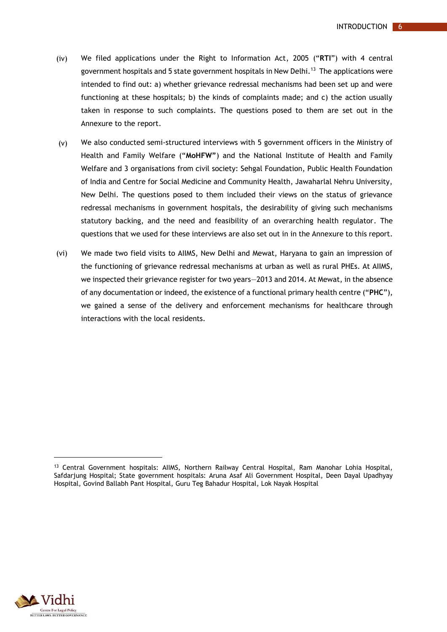- (iv) We filed applications under the Right to Information Act, 2005 ("**RTI**") with 4 central government hospitals and 5 state government hospitals in New Delhi. 13 The applications were intended to find out: a) whether grievance redressal mechanisms had been set up and were functioning at these hospitals; b) the kinds of complaints made; and c) the action usually taken in response to such complaints. The questions posed to them are set out in the Annexure to the report.
- (v) We also conducted semi-structured interviews with 5 government officers in the Ministry of Health and Family Welfare ("**MoHFW"**) and the National Institute of Health and Family Welfare and 3 organisations from civil society: Sehgal Foundation, Public Health Foundation of India and Centre for Social Medicine and Community Health, Jawaharlal Nehru University, New Delhi. The questions posed to them included their views on the status of grievance redressal mechanisms in government hospitals, the desirability of giving such mechanisms statutory backing, and the need and feasibility of an overarching health regulator. The questions that we used for these interviews are also set out in in the Annexure to this report.
- (vi) We made two field visits to AIIMS, New Delhi and Mewat, Haryana to gain an impression of the functioning of grievance redressal mechanisms at urban as well as rural PHEs. At AIIMS, we inspected their grievance register for two years—2013 and 2014. At Mewat, in the absence of any documentation or indeed, the existence of a functional primary health centre ("**PHC**"), we gained a sense of the delivery and enforcement mechanisms for healthcare through interactions with the local residents.



 $\overline{a}$ 

<sup>13</sup> Central Government hospitals: AIIMS, Northern Railway Central Hospital, Ram Manohar Lohia Hospital, Safdarjung Hospital; State government hospitals: Aruna Asaf Ali Government Hospital, Deen Dayal Upadhyay Hospital, Govind Ballabh Pant Hospital, Guru Teg Bahadur Hospital, Lok Nayak Hospital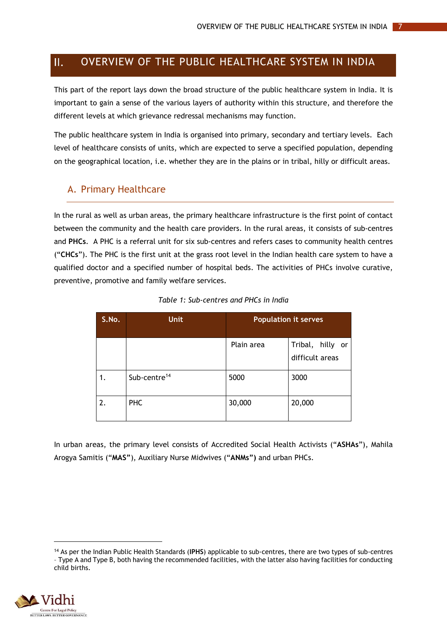#### <span id="page-11-0"></span> $\Pi$ . OVERVIEW OF THE PUBLIC HEALTHCARE SYSTEM IN INDIA

This part of the report lays down the broad structure of the public healthcare system in India. It is important to gain a sense of the various layers of authority within this structure, and therefore the different levels at which grievance redressal mechanisms may function.

The public healthcare system in India is organised into primary, secondary and tertiary levels. Each level of healthcare consists of units, which are expected to serve a specified population, depending on the geographical location, i.e. whether they are in the plains or in tribal, hilly or difficult areas.

## <span id="page-11-1"></span>A. Primary Healthcare

In the rural as well as urban areas, the primary healthcare infrastructure is the first point of contact between the community and the health care providers. In the rural areas, it consists of sub-centres and **PHCs**. A PHC is a referral unit for six sub-centres and refers cases to community health centres ("**CHCs**"). The PHC is the first unit at the grass root level in the Indian health care system to have a qualified doctor and a specified number of hospital beds. The activities of PHCs involve curative, preventive, promotive and family welfare services.

<span id="page-11-2"></span>

| S.No. | <b>Unit</b>              | <b>Population it serves</b> |                                        |  |  |  |
|-------|--------------------------|-----------------------------|----------------------------------------|--|--|--|
|       |                          | Plain area                  | Tribal,<br>hilly or<br>difficult areas |  |  |  |
| 1.    | Sub-centre <sup>14</sup> | 5000                        | 3000                                   |  |  |  |
| 2.    | <b>PHC</b>               | 30,000                      | 20,000                                 |  |  |  |

| Table 1: Sub-centres and PHCs in India |  |  |  |  |  |  |  |
|----------------------------------------|--|--|--|--|--|--|--|
|----------------------------------------|--|--|--|--|--|--|--|

In urban areas, the primary level consists of Accredited Social Health Activists ("**ASHAs**"), Mahila Arogya Samitis ("**MAS"**), Auxiliary Nurse Midwives ("**ANMs")** and urban PHCs.

<sup>14</sup> As per the Indian Public Health Standards (**IPHS**) applicable to sub-centres, there are two types of sub-centres – Type A and Type B, both having the recommended facilities, with the latter also having facilities for conducting child births.

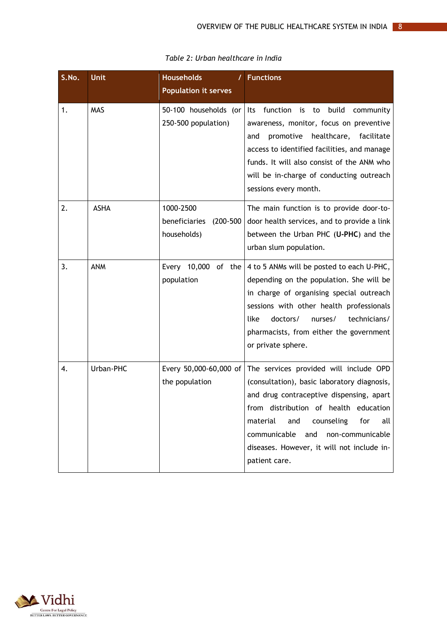<span id="page-12-0"></span>

| S.No. | <b>Unit</b> | <b>Households</b><br>T<br><b>Population it serves</b>      | <b>Functions</b>                                                                                                                                                                                                                                                                                                                    |
|-------|-------------|------------------------------------------------------------|-------------------------------------------------------------------------------------------------------------------------------------------------------------------------------------------------------------------------------------------------------------------------------------------------------------------------------------|
| 1.    | <b>MAS</b>  | 50-100 households (or<br>250-500 population)               | build<br>function<br>is<br>to<br>community<br>lts<br>awareness, monitor, focus on preventive<br>healthcare, facilitate<br>promotive<br>and<br>access to identified facilities, and manage<br>funds. It will also consist of the ANM who<br>will be in-charge of conducting outreach<br>sessions every month.                        |
| 2.    | <b>ASHA</b> | 1000-2500<br>beneficiaries<br>$(200 - 500)$<br>households) | The main function is to provide door-to-<br>door health services, and to provide a link<br>between the Urban PHC (U-PHC) and the<br>urban slum population.                                                                                                                                                                          |
| 3.    | <b>ANM</b>  | Every 10,000 of the<br>population                          | 4 to 5 ANMs will be posted to each U-PHC,<br>depending on the population. She will be<br>in charge of organising special outreach<br>sessions with other health professionals<br>like<br>doctors/<br>nurses/<br>technicians/<br>pharmacists, from either the government<br>or private sphere.                                       |
| 4.    | Urban-PHC   | Every 50,000-60,000 of<br>the population                   | The services provided will include OPD<br>(consultation), basic laboratory diagnosis,<br>and drug contraceptive dispensing, apart<br>from distribution of health education<br>counseling<br>for<br>material<br>and<br>all<br>communicable<br>non-communicable<br>and<br>diseases. However, it will not include in-<br>patient care. |

*Table 2: Urban healthcare in India*

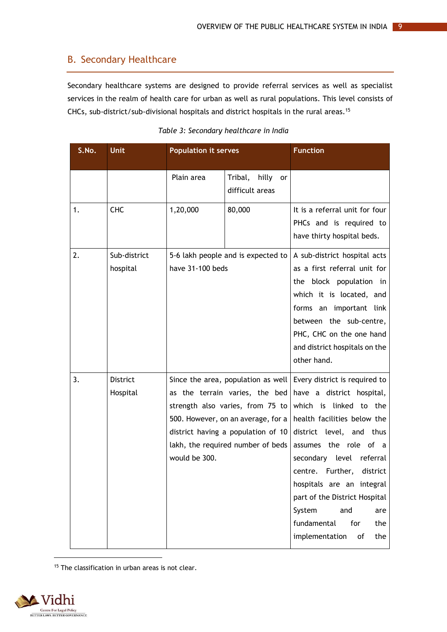# <span id="page-13-0"></span>B. Secondary Healthcare

Secondary healthcare systems are designed to provide referral services as well as specialist services in the realm of health care for urban as well as rural populations. This level consists of CHCs, sub-district/sub-divisional hospitals and district hospitals in the rural areas.<sup>15</sup>

<span id="page-13-1"></span>

| S.No. | Unit                        | <b>Population it serves</b> |                                                                                                                                                                                                                           | <b>Function</b>                                                                                                                                                                                                                                                                                                                                                                     |
|-------|-----------------------------|-----------------------------|---------------------------------------------------------------------------------------------------------------------------------------------------------------------------------------------------------------------------|-------------------------------------------------------------------------------------------------------------------------------------------------------------------------------------------------------------------------------------------------------------------------------------------------------------------------------------------------------------------------------------|
|       |                             | Plain area                  | Tribal, hilly or<br>difficult areas                                                                                                                                                                                       |                                                                                                                                                                                                                                                                                                                                                                                     |
| 1.    | <b>CHC</b>                  | 1,20,000                    | 80,000                                                                                                                                                                                                                    | It is a referral unit for four<br>PHCs and is required to<br>have thirty hospital beds.                                                                                                                                                                                                                                                                                             |
| 2.    | Sub-district<br>hospital    | have 31-100 beds            | 5-6 lakh people and is expected to                                                                                                                                                                                        | A sub-district hospital acts<br>as a first referral unit for<br>the block population in<br>which it is located, and<br>forms an important link<br>between the sub-centre,<br>PHC, CHC on the one hand<br>and district hospitals on the<br>other hand.                                                                                                                               |
| 3.    | <b>District</b><br>Hospital | would be 300.               | Since the area, population as well<br>as the terrain varies, the bed<br>strength also varies, from 75 to<br>500. However, on an average, for a<br>district having a population of 10<br>lakh, the required number of beds | Every district is required to<br>have a district hospital,<br>which is linked to the<br>health facilities below the<br>district level, and thus<br>assumes the role of a<br>secondary level referral<br>centre. Further, district<br>hospitals are an integral<br>part of the District Hospital<br>System<br>and<br>are<br>fundamental<br>for<br>the<br>implementation<br>of<br>the |

|  |  | Table 3: Secondary healthcare in India |  |
|--|--|----------------------------------------|--|
|--|--|----------------------------------------|--|

<sup>15</sup> The classification in urban areas is not clear.

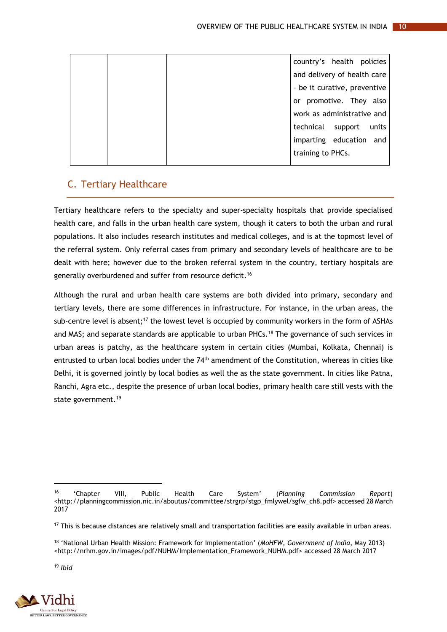|  | country's health policies     |
|--|-------------------------------|
|  | and delivery of health care   |
|  | - be it curative, preventive  |
|  | or promotive. They also       |
|  | work as administrative and    |
|  | technical<br>support<br>units |
|  | imparting education and       |
|  | training to PHCs.             |
|  |                               |

# <span id="page-14-0"></span>C. Tertiary Healthcare

Tertiary healthcare refers to the specialty and super-specialty hospitals that provide specialised health care, and falls in the urban health care system, though it caters to both the urban and rural populations. It also includes research institutes and medical colleges, and is at the topmost level of the referral system. Only referral cases from primary and secondary levels of healthcare are to be dealt with here; however due to the broken referral system in the country, tertiary hospitals are generally overburdened and suffer from resource deficit.<sup>16</sup>

Although the rural and urban health care systems are both divided into primary, secondary and tertiary levels, there are some differences in infrastructure. For instance, in the urban areas, the sub-centre level is absent;<sup>17</sup> the lowest level is occupied by community workers in the form of ASHAs and MAS; and separate standards are applicable to urban PHCs.<sup>18</sup> The governance of such services in urban areas is patchy, as the healthcare system in certain cities (Mumbai, Kolkata, Chennai) is entrusted to urban local bodies under the 74<sup>th</sup> amendment of the Constitution, whereas in cities like Delhi, it is governed jointly by local bodies as well the as the state government. In cities like Patna, Ranchi, Agra etc., despite the presence of urban local bodies, primary health care still vests with the state government.<sup>19</sup>

<sup>19</sup> *Ibid*

 $\overline{a}$ 



<sup>16</sup> 'Chapter VIII, Public Health Care System' (*Planning Commission Report*) [<http://planningcommission.nic.in/aboutus/committee/strgrp/stgp\\_fmlywel/sgfw\\_ch8.pdf>](http://planningcommission.nic.in/aboutus/committee/strgrp/stgp_fmlywel/sgfw_ch8.pdf) accessed 28 March 2017

<sup>&</sup>lt;sup>17</sup> This is because distances are relatively small and transportation facilities are easily available in urban areas.

<sup>18</sup> 'National Urban Health Mission: Framework for Implementation' (*MoHFW, Government of India*, May 2013) [<http://nrhm.gov.in/images/pdf/NUHM/Implementation\\_Framework\\_NUHM.pdf>](http://nrhm.gov.in/images/pdf/NUHM/Implementation_Framework_NUHM.pdf) accessed 28 March 2017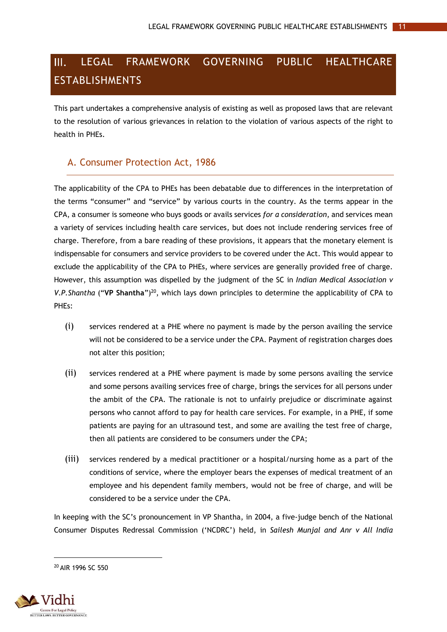## <span id="page-15-0"></span> $III.$ LEGAL FRAMEWORK GOVERNING PUBLIC HEALTHCARE ESTABLISHMENTS

This part undertakes a comprehensive analysis of existing as well as proposed laws that are relevant to the resolution of various grievances in relation to the violation of various aspects of the right to health in PHEs.

# <span id="page-15-1"></span>A. Consumer Protection Act, 1986

The applicability of the CPA to PHEs has been debatable due to differences in the interpretation of the terms "consumer" and "service" by various courts in the country. As the terms appear in the CPA, a consumer is someone who buys goods or avails services *for a consideration*, and services mean a variety of services including health care services, but does not include rendering services free of charge. Therefore, from a bare reading of these provisions, it appears that the monetary element is indispensable for consumers and service providers to be covered under the Act. This would appear to exclude the applicability of the CPA to PHEs, where services are generally provided free of charge. However, this assumption was dispelled by the judgment of the SC in *Indian Medical Association v* V.P. Shantha ("VP Shantha")<sup>20</sup>, which lays down principles to determine the applicability of CPA to PHEs:

- (i) services rendered at a PHE where no payment is made by the person availing the service will not be considered to be a service under the CPA. Payment of registration charges does not alter this position;
- (ii) services rendered at a PHE where payment is made by some persons availing the service and some persons availing services free of charge, brings the services for all persons under the ambit of the CPA. The rationale is not to unfairly prejudice or discriminate against persons who cannot afford to pay for health care services. For example, in a PHE, if some patients are paying for an ultrasound test, and some are availing the test free of charge, then all patients are considered to be consumers under the CPA;
- (iii) services rendered by a medical practitioner or a hospital/nursing home as a part of the conditions of service, where the employer bears the expenses of medical treatment of an employee and his dependent family members, would not be free of charge, and will be considered to be a service under the CPA.

In keeping with the SC's pronouncement in VP Shantha, in 2004, a five-judge bench of the National Consumer Disputes Redressal Commission ('NCDRC') held, in *Sailesh Munjal and Anr v All India*

<sup>20</sup> AIR 1996 SC 550

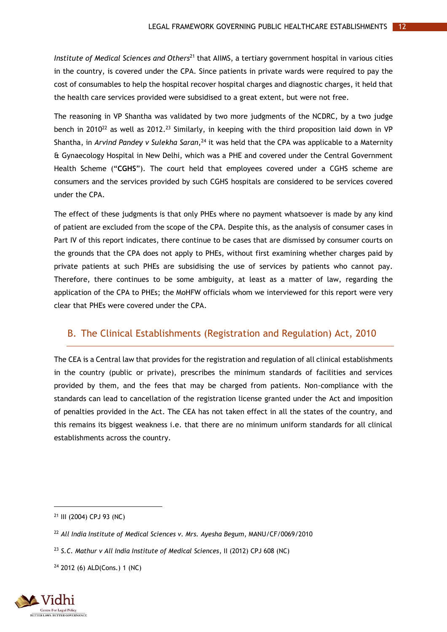*Institute of Medical Sciences and Others*<sup>21</sup> that AIIMS, a tertiary government hospital in various cities in the country, is covered under the CPA. Since patients in private wards were required to pay the cost of consumables to help the hospital recover hospital charges and diagnostic charges, it held that the health care services provided were subsidised to a great extent, but were not free.

The reasoning in VP Shantha was validated by two more judgments of the NCDRC, by a two judge bench in 2010<sup>22</sup> as well as 2012.<sup>23</sup> Similarly, in keeping with the third proposition laid down in VP Shantha, in *Arvind Pandey v Sulekha Saran,* <sup>24</sup> it was held that the CPA was applicable to a Maternity & Gynaecology Hospital in New Delhi, which was a PHE and covered under the Central Government Health Scheme ("**CGHS**"). The court held that employees covered under a CGHS scheme are consumers and the services provided by such CGHS hospitals are considered to be services covered under the CPA.

The effect of these judgments is that only PHEs where no payment whatsoever is made by any kind of patient are excluded from the scope of the CPA. Despite this, as the analysis of consumer cases in Part IV of this report indicates, there continue to be cases that are dismissed by consumer courts on the grounds that the CPA does not apply to PHEs, without first examining whether charges paid by private patients at such PHEs are subsidising the use of services by patients who cannot pay. Therefore, there continues to be some ambiguity, at least as a matter of law, regarding the application of the CPA to PHEs; the MoHFW officials whom we interviewed for this report were very clear that PHEs were covered under the CPA.

# <span id="page-16-0"></span>B. The Clinical Establishments (Registration and Regulation) Act, 2010

The CEA is a Central law that provides for the registration and regulation of all clinical establishments in the country (public or private), prescribes the minimum standards of facilities and services provided by them, and the fees that may be charged from patients. Non-compliance with the standards can lead to cancellation of the registration license granted under the Act and imposition of penalties provided in the Act. The CEA has not taken effect in all the states of the country, and this remains its biggest weakness i.e. that there are no minimum uniform standards for all clinical establishments across the country.

<sup>24</sup> 2012 (6) ALD(Cons.) 1 (NC)



<sup>21</sup> III (2004) CPJ 93 (NC)

<sup>22</sup> *All India Institute of Medical Sciences v. Mrs. Ayesha Begum*, MANU/CF/0069/2010

<sup>23</sup> *S.C. Mathur v All India Institute of Medical Sciences*, II (2012) CPJ 608 (NC)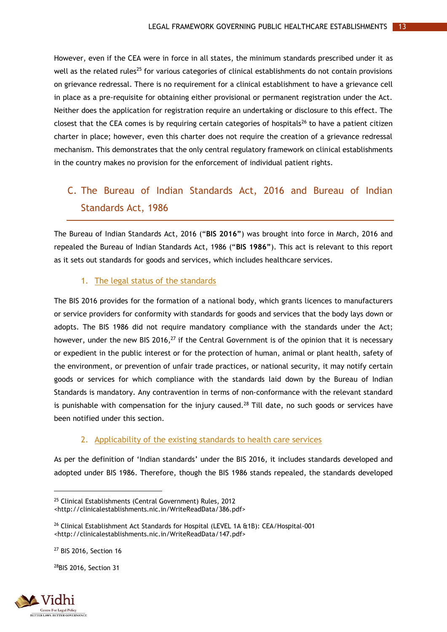However, even if the CEA were in force in all states, the minimum standards prescribed under it as well as the related rules<sup>25</sup> for various categories of clinical establishments do not contain provisions on grievance redressal. There is no requirement for a clinical establishment to have a grievance cell in place as a pre-requisite for obtaining either provisional or permanent registration under the Act. Neither does the application for registration require an undertaking or disclosure to this effect. The closest that the CEA comes is by requiring certain categories of hospitals<sup>26</sup> to have a patient citizen charter in place; however, even this charter does not require the creation of a grievance redressal mechanism. This demonstrates that the only central regulatory framework on clinical establishments in the country makes no provision for the enforcement of individual patient rights.

# <span id="page-17-0"></span>C. The Bureau of Indian Standards Act, 2016 and Bureau of Indian Standards Act, 1986

The Bureau of Indian Standards Act, 2016 ("**BIS 2016"**) was brought into force in March, 2016 and repealed the Bureau of Indian Standards Act, 1986 ("**BIS 1986"**). This act is relevant to this report as it sets out standards for goods and services, which includes healthcare services.

#### 1. The legal status of the standards

<span id="page-17-1"></span>The BIS 2016 provides for the formation of a national body, which grants licences to manufacturers or service providers for conformity with standards for goods and services that the body lays down or adopts. The BIS 1986 did not require mandatory compliance with the standards under the Act; however, under the new BIS 2016,<sup>27</sup> if the Central Government is of the opinion that it is necessary or expedient in the public interest or for the protection of human, animal or plant health, safety of the environment, or prevention of unfair trade practices, or national security, it may notify certain goods or services for which compliance with the standards laid down by the Bureau of Indian Standards is mandatory. Any contravention in terms of non-conformance with the relevant standard is punishable with compensation for the injury caused.<sup>28</sup> Till date, no such goods or services have been notified under this section.

#### 2. Applicability of the existing standards to health care services

<span id="page-17-2"></span>As per the definition of 'Indian standards' under the BIS 2016, it includes standards developed and adopted under BIS 1986. Therefore, though the BIS 1986 stands repealed, the standards developed

28BIS 2016, Section 31



<sup>25</sup> Clinical Establishments (Central Government) Rules, 2012 <http://clinicalestablishments.nic.in/WriteReadData/386.pdf>

<sup>26</sup> Clinical Establishment Act Standards for Hospital (LEVEL 1A &1B): CEA/Hospital-001 <http://clinicalestablishments.nic.in/WriteReadData/147.pdf>

<sup>27</sup> BIS 2016, Section 16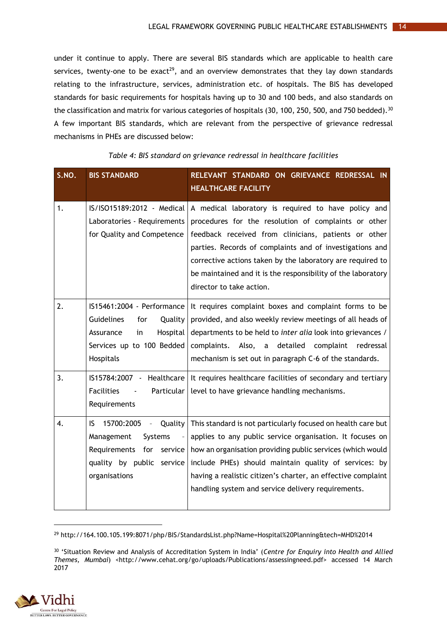under it continue to apply. There are several BIS standards which are applicable to health care services, twenty-one to be exact<sup>29</sup>, and an overview demonstrates that they lay down standards relating to the infrastructure, services, administration etc. of hospitals. The BIS has developed standards for basic requirements for hospitals having up to 30 and 100 beds, and also standards on the classification and matrix for various categories of hospitals (30, 100, 250, 500, and 750 bedded).<sup>30</sup> A few important BIS standards, which are relevant from the perspective of grievance redressal mechanisms in PHEs are discussed below:

<span id="page-18-0"></span>

| S.NO. | <b>BIS STANDARD</b>                                                                                                                            | RELEVANT STANDARD ON GRIEVANCE REDRESSAL IN<br><b>HEALTHCARE FACILITY</b>                                                                                                                                                                                                                                                                                                                 |
|-------|------------------------------------------------------------------------------------------------------------------------------------------------|-------------------------------------------------------------------------------------------------------------------------------------------------------------------------------------------------------------------------------------------------------------------------------------------------------------------------------------------------------------------------------------------|
| 1.    | IS/ISO15189:2012 - Medical<br>Laboratories - Requirements<br>for Quality and Competence                                                        | A medical laboratory is required to have policy and<br>procedures for the resolution of complaints or other<br>feedback received from clinicians, patients or other<br>parties. Records of complaints and of investigations and<br>corrective actions taken by the laboratory are required to<br>be maintained and it is the responsibility of the laboratory<br>director to take action. |
| 2.    | IS15461:2004 - Performance<br><b>Guidelines</b><br>Quality<br>for<br>Hospital<br>Assurance<br>in<br>Services up to 100 Bedded<br>Hospitals     | It requires complaint boxes and complaint forms to be<br>provided, and also weekly review meetings of all heads of<br>departments to be held to inter alia look into grievances /<br>Also, a detailed complaint redressal<br>complaints.<br>mechanism is set out in paragraph C-6 of the standards.                                                                                       |
| 3.    | IS15784:2007 - Healthcare<br><b>Facilities</b><br>Particular<br>Requirements                                                                   | It requires healthcare facilities of secondary and tertiary<br>level to have grievance handling mechanisms.                                                                                                                                                                                                                                                                               |
| 4.    | IS.<br>15700:2005 -<br><b>Quality</b><br>Management<br>Systems<br>Requirements<br>for<br>service<br>quality by public service<br>organisations | This standard is not particularly focused on health care but<br>applies to any public service organisation. It focuses on<br>how an organisation providing public services (which would<br>include PHEs) should maintain quality of services: by<br>having a realistic citizen's charter, an effective complaint<br>handling system and service delivery requirements.                    |

#### *Table 4: BIS standard on grievance redressal in healthcare facilities*

<sup>30</sup> 'Situation Review and Analysis of Accreditation System in India' (*Centre for Enquiry into Health and Allied*  Themes, Mumbai) <http://www.cehat.org/go/uploads/Publications/assessingneed.pdf> accessed 14 March 2017



<sup>29</sup> http://164.100.105.199:8071/php/BIS/StandardsList.php?Name=Hospital%20Planning&tech=MHD%2014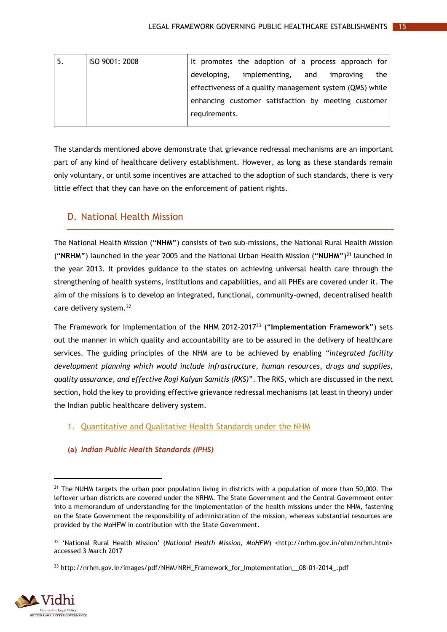| -5. | ISO 9001: 2008 |               | It promotes the adoption of a process approach for       |     |           |     |
|-----|----------------|---------------|----------------------------------------------------------|-----|-----------|-----|
|     |                | developing,   | implementing,                                            | and | improving | the |
|     |                |               | effectiveness of a quality management system (QMS) while |     |           |     |
|     |                |               | enhancing customer satisfaction by meeting customer      |     |           |     |
|     |                | requirements. |                                                          |     |           |     |
|     |                |               |                                                          |     |           |     |

The standards mentioned above demonstrate that grievance redressal mechanisms are an important part of any kind of healthcare delivery establishment. However, as long as these standards remain only voluntary, or until some incentives are attached to the adoption of such standards, there is very little effect that they can have on the enforcement of patient rights.

# <span id="page-19-0"></span>D. National Health Mission

The National Health Mission ("**NHM"**) consists of two sub-missions, the National Rural Health Mission ("**NRHM"**) launched in the year 2005 and the National Urban Health Mission ("**NUHM"**) <sup>31</sup> launched in the year 2013. It provides guidance to the states on achieving universal health care through the strengthening of health systems, institutions and capabilities, and all PHEs are covered under it. The aim of the missions is to develop an integrated, functional, community-owned, decentralised health care delivery system.<sup>32</sup>

The Framework for Implementation of the NHM 2012-2017<sup>33</sup> ("**Implementation Framework"**) sets out the manner in which quality and accountability are to be assured in the delivery of healthcare services. The guiding principles of the NHM are to be achieved by enabling *"integrated facility development planning which would include infrastructure, human resources, drugs and supplies, quality assurance, and effective Rogi Kalyan Samitis (RKS)*". The RKS, which are discussed in the next section, hold the key to providing effective grievance redressal mechanisms (at least in theory) under the Indian public healthcare delivery system.

### <span id="page-19-1"></span>1. Quantitative and Qualitative Health Standards under the NHM

### **(a)** *Indian Public Health Standards (IPHS)*

<sup>&</sup>lt;sup>33</sup> http://nrhm.gov.in/images/pdf/NHM/NRH\_Framework\_for\_Implementation\_08-01-2014\_.pdf



<sup>&</sup>lt;sup>31</sup> The NUHM targets the urban poor population living in districts with a population of more than 50,000. The leftover urban districts are covered under the NRHM. The State Government and the Central Government enter into a memorandum of understanding for the implementation of the health missions under the NHM, fastening on the State Government the responsibility of administration of the mission, whereas substantial resources are provided by the MoHFW in contribution with the State Government.

<sup>32</sup> 'National Rural Health Mission' (*National Health Mission, MoHFW*) <http://nrhm.gov.in/nhm/nrhm.html> accessed 3 March 2017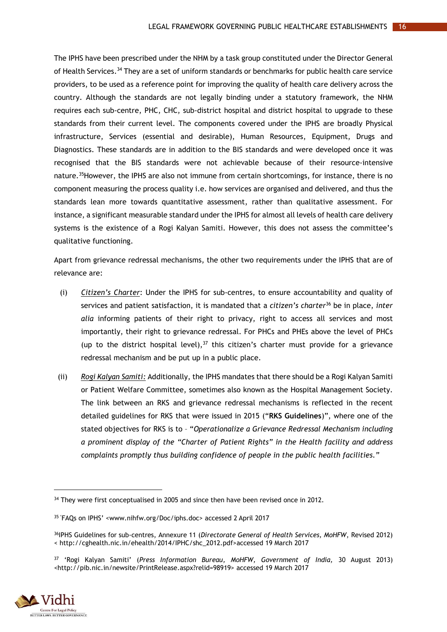The IPHS have been prescribed under the NHM by a task group constituted under the Director General of Health Services.<sup>34</sup> They are a set of uniform standards or benchmarks for public health care service providers, to be used as a reference point for improving the quality of health care delivery across the country. Although the standards are not legally binding under a statutory framework, the NHM requires each sub-centre, PHC, CHC, sub-district hospital and district hospital to upgrade to these standards from their current level. The components covered under the IPHS are broadly Physical infrastructure, Services (essential and desirable), Human Resources, Equipment, Drugs and Diagnostics. These standards are in addition to the BIS standards and were developed once it was recognised that the BIS standards were not achievable because of their resource-intensive nature.<sup>35</sup>However, the IPHS are also not immune from certain shortcomings, for instance, there is no component measuring the process quality i.e. how services are organised and delivered, and thus the standards lean more towards quantitative assessment, rather than qualitative assessment. For instance, a significant measurable standard under the IPHS for almost all levels of health care delivery systems is the existence of a Rogi Kalyan Samiti. However, this does not assess the committee's qualitative functioning.

Apart from grievance redressal mechanisms, the other two requirements under the IPHS that are of relevance are:

- (i) *Citizen's Charter*: Under the IPHS for sub-centres, to ensure accountability and quality of services and patient satisfaction, it is mandated that a *citizen's charter*<sup>36</sup> be in place, *inter alia* informing patients of their right to privacy, right to access all services and most importantly, their right to grievance redressal. For PHCs and PHEs above the level of PHCs (up to the district hospital level), $37$  this citizen's charter must provide for a grievance redressal mechanism and be put up in a public place.
- (ii) *Rogi Kalyan Samiti:* Additionally, the IPHS mandates that there should be a Rogi Kalyan Samiti or Patient Welfare Committee, sometimes also known as the Hospital Management Society. The link between an RKS and grievance redressal mechanisms is reflected in the recent detailed guidelines for RKS that were issued in 2015 ("**RKS Guidelines**)", where one of the stated objectives for RKS is to – "*Operationalize a Grievance Redressal Mechanism including a prominent display of the "Charter of Patient Rights" in the Health facility and address complaints promptly thus building confidence of people in the public health facilities."*

<sup>37</sup> 'Rogi Kalyan Samiti' (*Press Information Bureau, MoHFW, Government of India,* 30 August 2013) <http://pib.nic.in/newsite/PrintRelease.aspx?relid=98919> accessed 19 March 2017



<sup>&</sup>lt;sup>34</sup> They were first conceptualised in 2005 and since then have been revised once in 2012.

<sup>35</sup> 'FAQs on IPHS' <www.nihfw.org/Doc/iphs.doc> accessed 2 April 2017

<sup>36</sup>IPHS Guidelines for sub-centres, Annexure 11 (*Directorate General of Health Services, MoHFW*, Revised 2012) < http://cghealth.nic.in/ehealth/2014/IPHC/shc\_2012.pdf>accessed 19 March 2017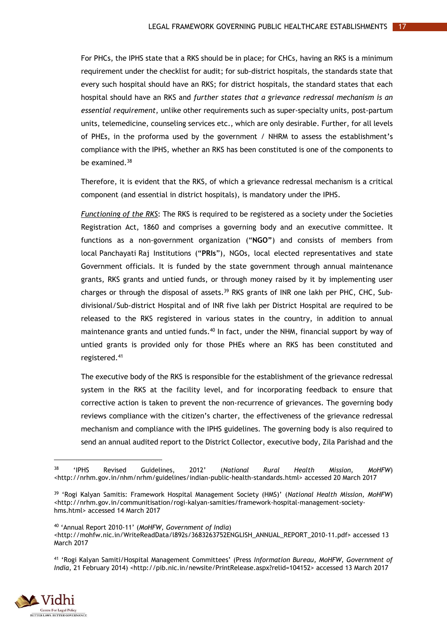For PHCs, the IPHS state that a RKS should be in place; for CHCs, having an RKS is a minimum requirement under the checklist for audit; for sub-district hospitals, the standards state that every such hospital should have an RKS; for district hospitals, the standard states that each hospital should have an RKS and *further states that a grievance redressal mechanism is an essential requirement*, unlike other requirements such as super-specialty units, post-partum units, telemedicine, counseling services etc., which are only desirable. Further, for all levels of PHEs, in the proforma used by the government / NHRM to assess the establishment's compliance with the IPHS, whether an RKS has been constituted is one of the components to be examined.<sup>38</sup>

Therefore, it is evident that the RKS, of which a grievance redressal mechanism is a critical component (and essential in district hospitals), is mandatory under the IPHS.

*Functioning of the RKS*: The RKS is required to be registered as a society under the Societies Registration Act, 1860 and comprises a governing body and an executive committee. It functions as a non-government organization ("**NGO"**) and consists of members from local Panchayati Raj Institutions ("**PRIs**"), NGOs, local elected representatives and state Government officials. It is funded by the state government through annual maintenance grants, RKS grants and untied funds, or through money raised by it by implementing user charges or through the disposal of assets.<sup>39</sup> RKS grants of INR one lakh per PHC, CHC, Subdivisional/Sub-district Hospital and of INR five lakh per District Hospital are required to be released to the RKS registered in various states in the country, in addition to annual maintenance grants and untied funds.<sup>40</sup> In fact, under the NHM, financial support by way of untied grants is provided only for those PHEs where an RKS has been constituted and registered.<sup>41</sup>

The executive body of the RKS is responsible for the establishment of the grievance redressal system in the RKS at the facility level, and for incorporating feedback to ensure that corrective action is taken to prevent the non-recurrence of grievances. The governing body reviews compliance with the citizen's charter, the effectiveness of the grievance redressal mechanism and compliance with the IPHS guidelines. The governing body is also required to send an annual audited report to the District Collector, executive body, Zila Parishad and the

<sup>40</sup> 'Annual Report 2010-11' (*MoHFW, Government of India*)

<http://mohfw.nic.in/WriteReadData/l892s/3683263752ENGLISH\_ANNUAL\_REPORT\_2010-11.pdf> accessed 13 March 2017

<sup>41</sup> 'Rogi Kalyan Samiti/Hospital Management Committees' (Press *Information Bureau, MoHFW, Government of India*, 21 February 2014) <http://pib.nic.in/newsite/PrintRelease.aspx?relid=104152> accessed 13 March 2017



<sup>38</sup> 'IPHS Revised Guidelines, 2012' (*National Rural Health Mission, MoHFW*) <http://nrhm.gov.in/nhm/nrhm/guidelines/indian-public-health-standards.html> accessed 20 March 2017

<sup>39</sup> 'Rogi Kalyan Samitis: Framework Hospital Management Society (HMS)' (*National Health Mission, MoHFW*) [<http://nrhm.gov.in/communitisation/rogi-kalyan-samities/framework-hospital-management-society](http://nrhm.gov.in/communitisation/rogi-kalyan-samities/framework-hospital-management-society-hms.html)[hms.html>](http://nrhm.gov.in/communitisation/rogi-kalyan-samities/framework-hospital-management-society-hms.html) accessed 14 March 2017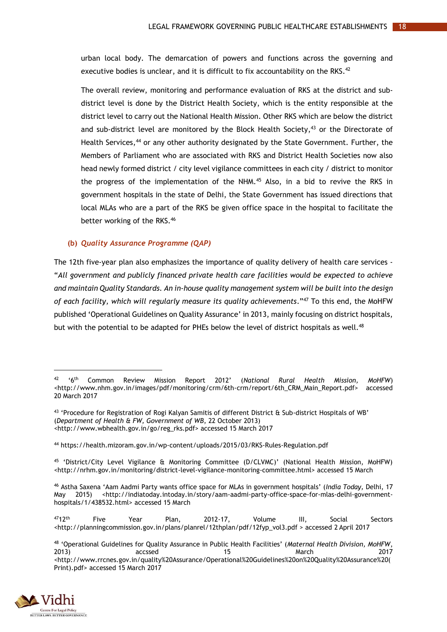urban local body. The demarcation of powers and functions across the governing and executive bodies is unclear, and it is difficult to fix accountability on the RKS.<sup>42</sup>

The overall review, monitoring and performance evaluation of RKS at the district and subdistrict level is done by the District Health Society, which is the entity responsible at the district level to carry out the National Health Mission. Other RKS which are below the district and sub-district level are monitored by the Block Health Society,<sup>43</sup> or the Directorate of Health Services,<sup>44</sup> or any other authority designated by the State Government. Further, the Members of Parliament who are associated with RKS and District Health Societies now also head newly formed district / city level vigilance committees in each city / district to monitor the progress of the implementation of the NHM.<sup>45</sup> Also, in a bid to revive the RKS in government hospitals in the state of Delhi, the State Government has issued directions that local MLAs who are a part of the RKS be given office space in the hospital to facilitate the better working of the RKS.<sup>46</sup>

#### **(b)** *Quality Assurance Programme (QAP)*

The 12th five-year plan also emphasizes the importance of quality delivery of health care services - "*All government and publicly financed private health care facilities would be expected to achieve and maintain Quality Standards. An in-house quality management system will be built into the design of each facility, which will regularly measure its quality achievements*."<sup>47</sup> To this end, the MoHFW published 'Operational Guidelines on Quality Assurance' in 2013, mainly focusing on district hospitals, but with the potential to be adapted for PHEs below the level of district hospitals as well.<sup>48</sup>

<sup>48</sup> 'Operational Guidelines for Quality Assurance in Public Health Facilities' (*Maternal Health Division, MoHFW*, 2013) accssed 15 March 2017 [<http://www.rrcnes.gov.in/quality%20Assurance/Operational%20Guidelines%20on%20Quality%20Assurance%20\(](http://www.rrcnes.gov.in/quality%20Assurance/Operational%20Guidelines%20on%20Quality%20Assurance%20(Print).pdf) [Print\).pdf>](http://www.rrcnes.gov.in/quality%20Assurance/Operational%20Guidelines%20on%20Quality%20Assurance%20(Print).pdf) accessed 15 March 2017



 $\overline{a}$ 

<sup>42</sup> '6th Common Review Mission Report 2012' (*National Rural Health Mission, MoHFW*) <http://www.nhm.gov.in/images/pdf/monitoring/crm/6th-crm/report/6th\_CRM\_Main\_Report.pdf> accessed 20 March 2017

<sup>43</sup> 'Procedure for Registration of Rogi Kalyan Samitis of different District & Sub-district Hospitals of WB' (*Department of Health & FW, Government of WB*, 22 October 2013) <http://www.wbhealth.gov.in/go/reg\_rks.pdf> accessed 15 March 2017

<sup>44</sup> https://health.mizoram.gov.in/wp-content/uploads/2015/03/RKS-Rules-Regulation.pdf

<sup>45</sup> 'District/City Level Vigilance & Monitoring Committee (D/CLVMC)' (National Health Mission, MoHFW) [<http://nrhm.gov.in/monitoring/district-level-vigilance-monitoring-committee.html>](http://nrhm.gov.in/monitoring/district-level-vigilance-monitoring-committee.html) accessed 15 March

<sup>46</sup> Astha Saxena 'Aam Aadmi Party wants office space for MLAs in government hospitals' (*India Today,* Delhi, 17 May 2015) <http://indiatoday.intoday.in/story/aam-aadmi-party-office-space-for-mlas-delhi-governmenthospitals/1/438532.html> accessed 15 March

 $^{47}12^{th}$  Five Year Plan, 2012-17, Volume III, Social Sectors <http://planningcommission.gov.in/plans/planrel/12thplan/pdf/12fyp\_vol3.pdf > accessed 2 April 2017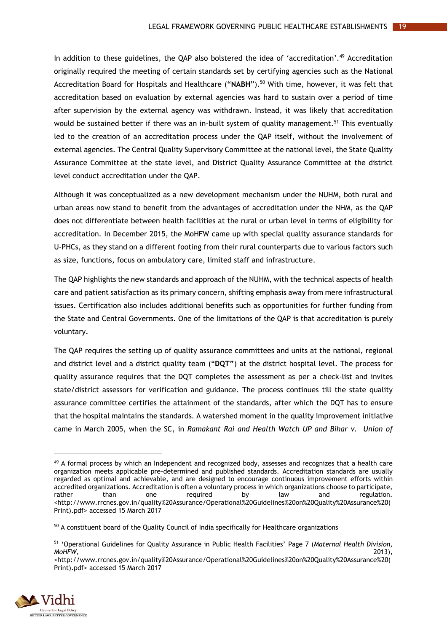In addition to these guidelines, the QAP also bolstered the idea of 'accreditation'. <sup>49</sup> Accreditation originally required the meeting of certain standards set by certifying agencies such as the National Accreditation Board for Hospitals and Healthcare ("**NABH**"). <sup>50</sup> With time, however, it was felt that accreditation based on evaluation by external agencies was hard to sustain over a period of time after supervision by the external agency was withdrawn. Instead, it was likely that accreditation would be sustained better if there was an in-built system of quality management.<sup>51</sup> This eventually led to the creation of an accreditation process under the QAP itself, without the involvement of external agencies. The Central Quality Supervisory Committee at the national level, the State Quality Assurance Committee at the state level, and District Quality Assurance Committee at the district level conduct accreditation under the QAP.

Although it was conceptualized as a new development mechanism under the NUHM, both rural and urban areas now stand to benefit from the advantages of accreditation under the NHM, as the QAP does not differentiate between health facilities at the rural or urban level in terms of eligibility for accreditation. In December 2015, the MoHFW came up with special quality assurance standards for U-PHCs, as they stand on a different footing from their rural counterparts due to various factors such as size, functions, focus on ambulatory care, limited staff and infrastructure.

The QAP highlights the new standards and approach of the NUHM, with the technical aspects of health care and patient satisfaction as its primary concern, shifting emphasis away from mere infrastructural issues. Certification also includes additional benefits such as opportunities for further funding from the State and Central Governments. One of the limitations of the QAP is that accreditation is purely voluntary.

The QAP requires the setting up of quality assurance committees and units at the national, regional and district level and a district quality team ("**DQT"**) at the district hospital level. The process for quality assurance requires that the DQT completes the assessment as per a check-list and invites state/district assessors for verification and guidance. The process continues till the state quality assurance committee certifies the attainment of the standards, after which the DQT has to ensure that the hospital maintains the standards. A watershed moment in the quality improvement initiative came in March 2005, when the SC, in *Ramakant Rai and Health Watch UP and Bihar v. Union of*

[<sup>&</sup>lt;http://www.rrcnes.gov.in/quality%20Assurance/Operational%20Guidelines%20on%20Quality%20Assurance%20\(](http://www.rrcnes.gov.in/quality%20Assurance/Operational%20Guidelines%20on%20Quality%20Assurance%20(Print).pdf) [Print\).pdf>](http://www.rrcnes.gov.in/quality%20Assurance/Operational%20Guidelines%20on%20Quality%20Assurance%20(Print).pdf) accessed 15 March 2017



<sup>&</sup>lt;sup>49</sup> A formal process by which an Independent and recognized body, assesses and recognizes that a health care organization meets applicable pre-determined and published standards. Accreditation standards are usually regarded as optimal and achievable, and are designed to encourage continuous improvement efforts within accredited organizations. Accreditation is often a voluntary process in which organizations choose to participate, rather than one required by law and regulation. [<http://www.rrcnes.gov.in/quality%20Assurance/Operational%20Guidelines%20on%20Quality%20Assurance%20\(](http://www.rrcnes.gov.in/quality%20Assurance/Operational%20Guidelines%20on%20Quality%20Assurance%20(Print).pdf) [Print\).pdf>](http://www.rrcnes.gov.in/quality%20Assurance/Operational%20Guidelines%20on%20Quality%20Assurance%20(Print).pdf) accessed 15 March 2017

<sup>&</sup>lt;sup>50</sup> A constituent board of the Quality Council of India specifically for Healthcare organizations

<sup>51</sup> 'Operational Guidelines for Quality Assurance in Public Health Facilities' Page 7 (*Maternal Health Division, MoHFW*, 2013),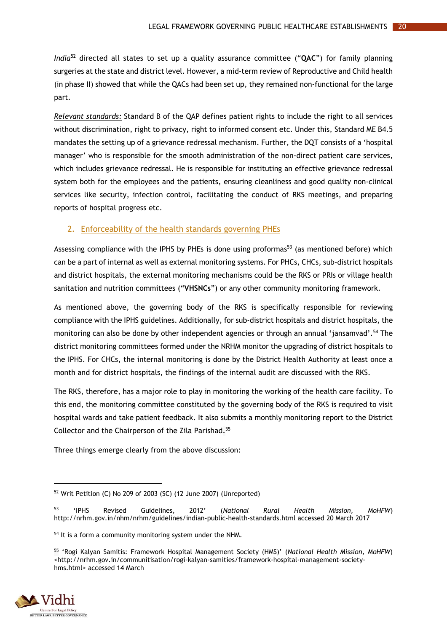*India*<sup>52</sup> directed all states to set up a quality assurance committee ("**QAC**") for family planning surgeries at the state and district level. However, a mid-term review of Reproductive and Child health (in phase II) showed that while the QACs had been set up, they remained non-functional for the large part.

*Relevant standards:* Standard B of the QAP defines patient rights to include the right to all services without discrimination, right to privacy, right to informed consent etc. Under this, Standard ME B4.5 mandates the setting up of a grievance redressal mechanism. Further, the DQT consists of a 'hospital manager' who is responsible for the smooth administration of the non-direct patient care services, which includes grievance redressal. He is responsible for instituting an effective grievance redressal system both for the employees and the patients, ensuring cleanliness and good quality non-clinical services like security, infection control, facilitating the conduct of RKS meetings, and preparing reports of hospital progress etc.

#### <span id="page-24-0"></span>2. Enforceability of the health standards governing PHEs

Assessing compliance with the IPHS by PHEs is done using proformas<sup>53</sup> (as mentioned before) which can be a part of internal as well as external monitoring systems. For PHCs, CHCs, sub-district hospitals and district hospitals, the external monitoring mechanisms could be the RKS or PRIs or village health sanitation and nutrition committees ("**VHSNCs**") or any other community monitoring framework.

As mentioned above, the governing body of the RKS is specifically responsible for reviewing compliance with the IPHS guidelines. Additionally, for sub-district hospitals and district hospitals, the monitoring can also be done by other independent agencies or through an annual 'jansamvad'.<sup>54</sup> The district monitoring committees formed under the NRHM monitor the upgrading of district hospitals to the IPHS. For CHCs, the internal monitoring is done by the District Health Authority at least once a month and for district hospitals, the findings of the internal audit are discussed with the RKS.

The RKS, therefore, has a major role to play in monitoring the working of the health care facility. To this end, the monitoring committee constituted by the governing body of the RKS is required to visit hospital wards and take patient feedback. It also submits a monthly monitoring report to the District Collector and the Chairperson of the Zila Parishad. 55

Three things emerge clearly from the above discussion:

<sup>55</sup> 'Rogi Kalyan Samitis: Framework Hospital Management Society (HMS)' (*National Health Mission, MoHFW*) <http://nrhm.gov.in/communitisation/rogi-kalyan-samities/framework-hospital-management-societyhms.html> accessed 14 March



 $\overline{a}$ 

<sup>52</sup> Writ Petition (C) No 209 of 2003 (SC) (12 June 2007) (Unreported)

<sup>53</sup> 'IPHS Revised Guidelines, 2012' (*National Rural Health Mission, MoHFW*) <http://nrhm.gov.in/nhm/nrhm/guidelines/indian-public-health-standards.html> accessed 20 March 2017

<sup>&</sup>lt;sup>54</sup> It is a form a community monitoring system under the NHM.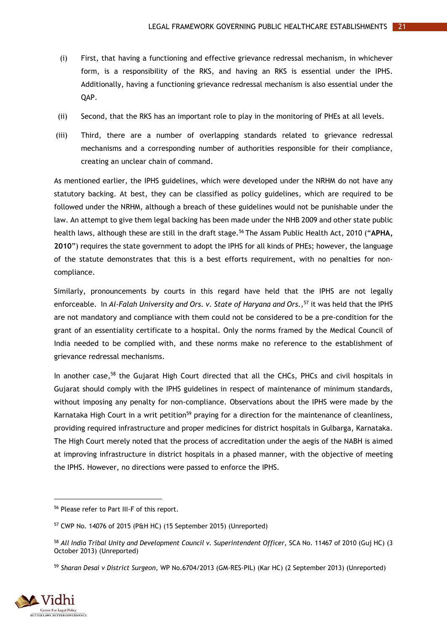- (i) First, that having a functioning and effective grievance redressal mechanism, in whichever form, is a responsibility of the RKS, and having an RKS is essential under the IPHS. Additionally, having a functioning grievance redressal mechanism is also essential under the QAP.
- (ii) Second, that the RKS has an important role to play in the monitoring of PHEs at all levels.
- (iii) Third, there are a number of overlapping standards related to grievance redressal mechanisms and a corresponding number of authorities responsible for their compliance, creating an unclear chain of command.

As mentioned earlier, the IPHS guidelines, which were developed under the NRHM do not have any statutory backing. At best, they can be classified as policy guidelines, which are required to be followed under the NRHM, although a breach of these guidelines would not be punishable under the law. An attempt to give them legal backing has been made under the NHB 2009 and other state public health laws, although these are still in the draft stage.<sup>56</sup> The Assam Public Health Act, 2010 ("**APHA, 2010**") requires the state government to adopt the IPHS for all kinds of PHEs; however, the language of the statute demonstrates that this is a best efforts requirement, with no penalties for noncompliance.

Similarly, pronouncements by courts in this regard have held that the IPHS are not legally enforceable. In *Al-Falah University and Ors. v. State of Haryana and Ors.,* <sup>57</sup> it was held that the IPHS are not mandatory and compliance with them could not be considered to be a pre-condition for the grant of an essentiality certificate to a hospital. Only the norms framed by the Medical Council of India needed to be complied with, and these norms make no reference to the establishment of grievance redressal mechanisms.

In another case,<sup>58</sup> the Gujarat High Court directed that all the CHCs, PHCs and civil hospitals in Gujarat should comply with the IPHS guidelines in respect of maintenance of minimum standards, without imposing any penalty for non-compliance. Observations about the IPHS were made by the Karnataka High Court in a writ petition<sup>59</sup> praying for a direction for the maintenance of cleanliness, providing required infrastructure and proper medicines for district hospitals in Gulbarga, Karnataka. The High Court merely noted that the process of accreditation under the aegis of the NABH is aimed at improving infrastructure in district hospitals in a phased manner, with the objective of meeting the IPHS. However, no directions were passed to enforce the IPHS.

<sup>59</sup> *Sharan Desai v District Surgeon,* WP No.6704/2013 (GM-RES-PIL) (Kar HC) (2 September 2013) (Unreported)



<sup>56</sup> Please refer to Part III-F of this report.

<sup>57</sup> CWP No. 14076 of 2015 (P&H HC) (15 September 2015) (Unreported)

<sup>58</sup> *All India Tribal Unity and Development Council v. Superintendent Officer,* SCA No. 11467 of 2010 (Guj HC) (3 October 2013) (Unreported)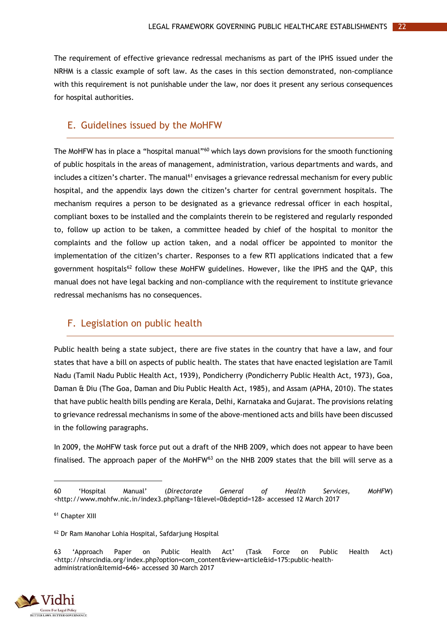The requirement of effective grievance redressal mechanisms as part of the IPHS issued under the NRHM is a classic example of soft law. As the cases in this section demonstrated, non-compliance with this requirement is not punishable under the law, nor does it present any serious consequences for hospital authorities.

### <span id="page-26-0"></span>E. Guidelines issued by the MoHFW

The MoHFW has in place a "hospital manual"<sup>60</sup> which lays down provisions for the smooth functioning of public hospitals in the areas of management, administration, various departments and wards, and includes a citizen's charter. The manual<sup>61</sup> envisages a grievance redressal mechanism for every public hospital, and the appendix lays down the citizen's charter for central government hospitals. The mechanism requires a person to be designated as a grievance redressal officer in each hospital, compliant boxes to be installed and the complaints therein to be registered and regularly responded to, follow up action to be taken, a committee headed by chief of the hospital to monitor the complaints and the follow up action taken, and a nodal officer be appointed to monitor the implementation of the citizen's charter. Responses to a few RTI applications indicated that a few government hospitals<sup>62</sup> follow these MoHFW guidelines. However, like the IPHS and the QAP, this manual does not have legal backing and non-compliance with the requirement to institute grievance redressal mechanisms has no consequences.

## <span id="page-26-1"></span>F. Legislation on public health

Public health being a state subject, there are five states in the country that have a law, and four states that have a bill on aspects of public health. The states that have enacted legislation are Tamil Nadu (Tamil Nadu Public Health Act, 1939), Pondicherry (Pondicherry Public Health Act, 1973), Goa, Daman & Diu (The Goa, Daman and Diu Public Health Act, 1985), and Assam (APHA, 2010). The states that have public health bills pending are Kerala, Delhi, Karnataka and Gujarat. The provisions relating to grievance redressal mechanisms in some of the above-mentioned acts and bills have been discussed in the following paragraphs.

In 2009, the MoHFW task force put out a draft of the NHB 2009, which does not appear to have been finalised. The approach paper of the MoHFW<sup>63</sup> on the NHB 2009 states that the bill will serve as a

<sup>63</sup> 'Approach Paper on Public Health Act' (Task Force on Public Health Act) <http://nhsrcindia.org/index.php?option=com\_content&view=article&id=175:public-healthadministration&Itemid=646> accessed 30 March 2017



<sup>60</sup> 'Hospital Manual' (*Directorate General of Health Services, MoHFW*) <http://www.mohfw.nic.in/index3.php?lang=1&level=0&deptid=128> accessed 12 March 2017

<sup>61</sup> Chapter XIII

<sup>62</sup> Dr Ram Manohar Lohia Hospital, Safdarjung Hospital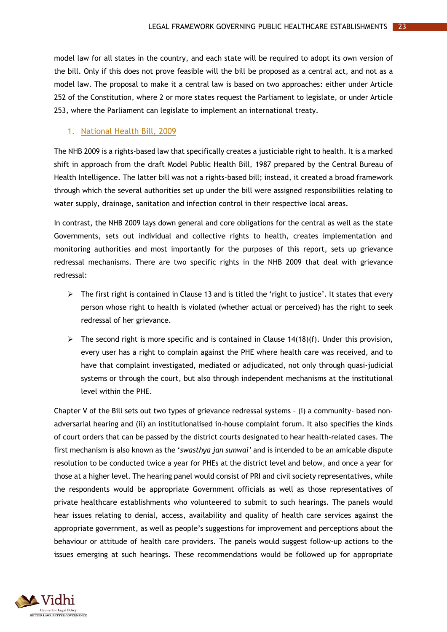model law for all states in the country, and each state will be required to adopt its own version of the bill. Only if this does not prove feasible will the bill be proposed as a central act, and not as a model law. The proposal to make it a central law is based on two approaches: either under Article 252 of the Constitution, where 2 or more states request the Parliament to legislate, or under Article 253, where the Parliament can legislate to implement an international treaty.

#### <span id="page-27-0"></span>1. National Health Bill, 2009

The NHB 2009 is a rights-based law that specifically creates a justiciable right to health. It is a marked shift in approach from the draft Model Public Health Bill, 1987 prepared by the Central Bureau of Health Intelligence. The latter bill was not a rights-based bill; instead, it created a broad framework through which the several authorities set up under the bill were assigned responsibilities relating to water supply, drainage, sanitation and infection control in their respective local areas.

In contrast, the NHB 2009 lays down general and core obligations for the central as well as the state Governments, sets out individual and collective rights to health, creates implementation and monitoring authorities and most importantly for the purposes of this report, sets up grievance redressal mechanisms. There are two specific rights in the NHB 2009 that deal with grievance redressal:

- $\triangleright$  The first right is contained in Clause 13 and is titled the 'right to justice'. It states that every person whose right to health is violated (whether actual or perceived) has the right to seek redressal of her grievance.
- $\triangleright$  The second right is more specific and is contained in Clause 14(18)(f). Under this provision, every user has a right to complain against the PHE where health care was received, and to have that complaint investigated, mediated or adjudicated, not only through quasi-judicial systems or through the court, but also through independent mechanisms at the institutional level within the PHE.

Chapter V of the Bill sets out two types of grievance redressal systems – (i) a community- based nonadversarial hearing and (ii) an institutionalised in-house complaint forum. It also specifies the kinds of court orders that can be passed by the district courts designated to hear health-related cases. The first mechanism is also known as the '*swasthya jan sunwai'* and is intended to be an amicable dispute resolution to be conducted twice a year for PHEs at the district level and below, and once a year for those at a higher level. The hearing panel would consist of PRI and civil society representatives, while the respondents would be appropriate Government officials as well as those representatives of private healthcare establishments who volunteered to submit to such hearings. The panels would hear issues relating to denial, access, availability and quality of health care services against the appropriate government, as well as people's suggestions for improvement and perceptions about the behaviour or attitude of health care providers. The panels would suggest follow-up actions to the issues emerging at such hearings. These recommendations would be followed up for appropriate

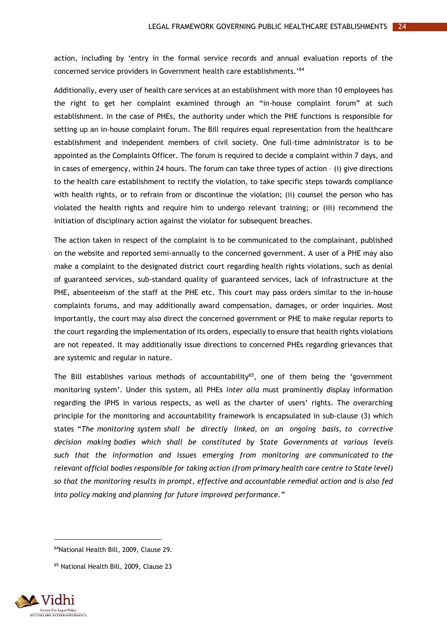action, including by 'entry in the formal service records and annual evaluation reports of the concerned service providers in Government health care establishments.'<sup>64</sup>

Additionally, every user of health care services at an establishment with more than 10 employees has the right to get her complaint examined through an "in-house complaint forum" at such establishment. In the case of PHEs, the authority under which the PHE functions is responsible for setting up an in-house complaint forum. The Bill requires equal representation from the healthcare establishment and independent members of civil society. One full-time administrator is to be appointed as the Complaints Officer. The forum is required to decide a complaint within 7 days, and in cases of emergency, within 24 hours. The forum can take three types of action – (i) give directions to the health care establishment to rectify the violation, to take specific steps towards compliance with health rights, or to refrain from or discontinue the violation; (ii) counsel the person who has violated the health rights and require him to undergo relevant training; or (iii) recommend the initiation of disciplinary action against the violator for subsequent breaches.

The action taken in respect of the complaint is to be communicated to the complainant, published on the website and reported semi-annually to the concerned government. A user of a PHE may also make a complaint to the designated district court regarding health rights violations, such as denial of guaranteed services, sub-standard quality of guaranteed services, lack of infrastructure at the PHE, absenteeism of the staff at the PHE etc. This court may pass orders similar to the in-house complaints forums, and may additionally award compensation, damages, or order inquiries. Most importantly, the court may also direct the concerned government or PHE to make regular reports to the court regarding the implementation of its orders, especially to ensure that health rights violations are not repeated. It may additionally issue directions to concerned PHEs regarding grievances that are systemic and regular in nature.

The Bill establishes various methods of accountability<sup>65</sup>, one of them being the 'government monitoring system'. Under this system, all PHEs *inter alia* must prominently display information regarding the IPHS in various respects, as well as the charter of users' rights. The overarching principle for the monitoring and accountability framework is encapsulated in sub-clause (3) which states "*The monitoring system shall be directly linked, on an ongoing basis, to corrective decision making bodies which shall be constituted by State Governments at various levels such that the information and issues emerging from monitoring are communicated to the relevant official bodies responsible for taking action (from primary health care centre to State level) so that the monitoring results in prompt, effective and accountable remedial action and is also fed into policy making and planning for future improved performance."*

<sup>65</sup> National Health Bill, 2009, Clause 23



<sup>64</sup>National Health Bill, 2009, Clause 29.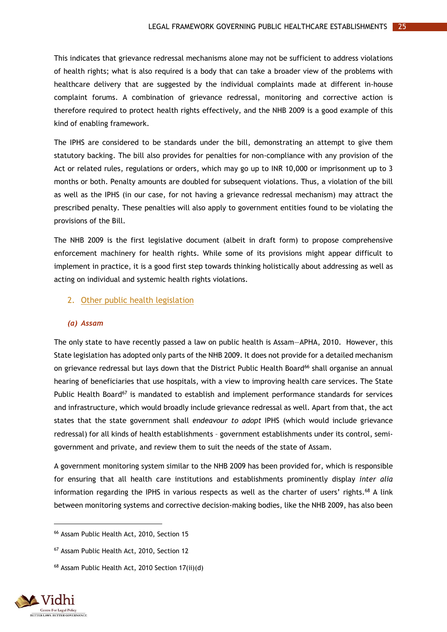This indicates that grievance redressal mechanisms alone may not be sufficient to address violations of health rights; what is also required is a body that can take a broader view of the problems with healthcare delivery that are suggested by the individual complaints made at different in-house complaint forums. A combination of grievance redressal, monitoring and corrective action is therefore required to protect health rights effectively, and the NHB 2009 is a good example of this kind of enabling framework.

The IPHS are considered to be standards under the bill, demonstrating an attempt to give them statutory backing. The bill also provides for penalties for non-compliance with any provision of the Act or related rules, regulations or orders, which may go up to INR 10,000 or imprisonment up to 3 months or both. Penalty amounts are doubled for subsequent violations. Thus, a violation of the bill as well as the IPHS (in our case, for not having a grievance redressal mechanism) may attract the prescribed penalty. These penalties will also apply to government entities found to be violating the provisions of the Bill.

The NHB 2009 is the first legislative document (albeit in draft form) to propose comprehensive enforcement machinery for health rights. While some of its provisions might appear difficult to implement in practice, it is a good first step towards thinking holistically about addressing as well as acting on individual and systemic health rights violations.

#### <span id="page-29-0"></span>2. Other public health legislation

#### *(a) Assam*

The only state to have recently passed a law on public health is Assam—APHA, 2010. However, this State legislation has adopted only parts of the NHB 2009. It does not provide for a detailed mechanism on grievance redressal but lays down that the District Public Health Board<sup>66</sup> shall organise an annual hearing of beneficiaries that use hospitals, with a view to improving health care services. The State Public Health Board<sup>67</sup> is mandated to establish and implement performance standards for services and infrastructure, which would broadly include grievance redressal as well. Apart from that, the act states that the state government shall *endeavour to adopt* IPHS (which would include grievance redressal) for all kinds of health establishments – government establishments under its control, semigovernment and private, and review them to suit the needs of the state of Assam.

A government monitoring system similar to the NHB 2009 has been provided for, which is responsible for ensuring that all health care institutions and establishments prominently display *inter alia* information regarding the IPHS in various respects as well as the charter of users' rights.<sup>68</sup> A link between monitoring systems and corrective decision-making bodies, like the NHB 2009, has also been

<sup>68</sup> Assam Public Health Act, 2010 Section 17(ii)(d)



<sup>66</sup> Assam Public Health Act, 2010, Section 15

<sup>67</sup> Assam Public Health Act, 2010, Section 12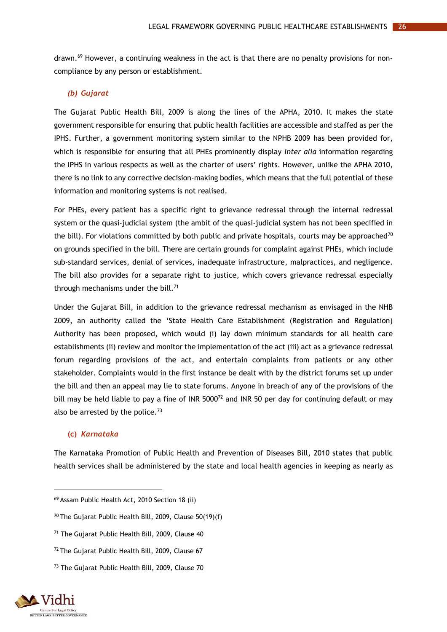drawn.<sup>69</sup> However, a continuing weakness in the act is that there are no penalty provisions for noncompliance by any person or establishment.

#### *(b) Gujarat*

The Gujarat Public Health Bill, 2009 is along the lines of the APHA, 2010. It makes the state government responsible for ensuring that public health facilities are accessible and staffed as per the IPHS. Further, a government monitoring system similar to the NPHB 2009 has been provided for, which is responsible for ensuring that all PHEs prominently display *inter alia* information regarding the IPHS in various respects as well as the charter of users' rights. However, unlike the APHA 2010, there is no link to any corrective decision-making bodies, which means that the full potential of these information and monitoring systems is not realised.

For PHEs, every patient has a specific right to grievance redressal through the internal redressal system or the quasi-judicial system (the ambit of the quasi-judicial system has not been specified in the bill). For violations committed by both public and private hospitals, courts may be approached<sup>70</sup> on grounds specified in the bill. There are certain grounds for complaint against PHEs, which include sub-standard services, denial of services, inadequate infrastructure, malpractices, and negligence. The bill also provides for a separate right to justice, which covers grievance redressal especially through mechanisms under the bill.<sup>71</sup>

Under the Gujarat Bill, in addition to the grievance redressal mechanism as envisaged in the NHB 2009, an authority called the 'State Health Care Establishment (Registration and Regulation) Authority has been proposed, which would (i) lay down minimum standards for all health care establishments (ii) review and monitor the implementation of the act (iii) act as a grievance redressal forum regarding provisions of the act, and entertain complaints from patients or any other stakeholder. Complaints would in the first instance be dealt with by the district forums set up under the bill and then an appeal may lie to state forums. Anyone in breach of any of the provisions of the bill may be held liable to pay a fine of INR 5000<sup>72</sup> and INR 50 per day for continuing default or may also be arrested by the police. $73$ 

#### **(c)** *Karnataka*

The Karnataka Promotion of Public Health and Prevention of Diseases Bill, 2010 states that public health services shall be administered by the state and local health agencies in keeping as nearly as

<sup>73</sup> The Gujarat Public Health Bill, 2009, Clause 70



<sup>69</sup> Assam Public Health Act, 2010 Section 18 (ii)

<sup>70</sup> The Gujarat Public Health Bill, 2009, Clause 50(19)(f)

<sup>71</sup> The Gujarat Public Health Bill, 2009, Clause 40

<sup>72</sup> The Gujarat Public Health Bill, 2009, Clause 67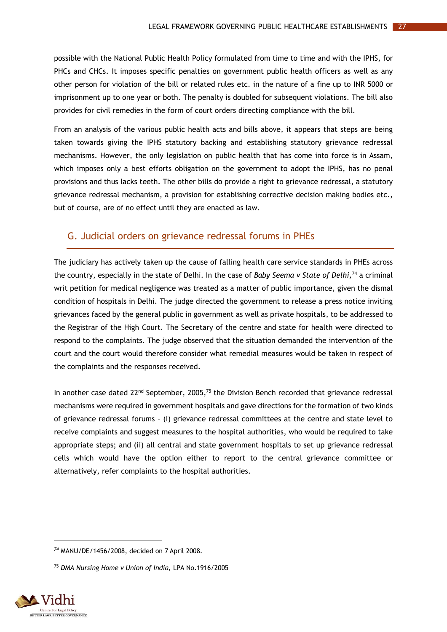possible with the National Public Health Policy formulated from time to time and with the IPHS, for PHCs and CHCs. It imposes specific penalties on government public health officers as well as any other person for violation of the bill or related rules etc. in the nature of a fine up to INR 5000 or imprisonment up to one year or both. The penalty is doubled for subsequent violations. The bill also provides for civil remedies in the form of court orders directing compliance with the bill.

From an analysis of the various public health acts and bills above, it appears that steps are being taken towards giving the IPHS statutory backing and establishing statutory grievance redressal mechanisms. However, the only legislation on public health that has come into force is in Assam, which imposes only a best efforts obligation on the government to adopt the IPHS, has no penal provisions and thus lacks teeth. The other bills do provide a right to grievance redressal, a statutory grievance redressal mechanism, a provision for establishing corrective decision making bodies etc., but of course, are of no effect until they are enacted as law.

# <span id="page-31-0"></span>G. Judicial orders on grievance redressal forums in PHEs

The judiciary has actively taken up the cause of falling health care service standards in PHEs across the country, especially in the state of Delhi. In the case of *Baby Seema v State of Delhi,* <sup>74</sup> a criminal writ petition for medical negligence was treated as a matter of public importance, given the dismal condition of hospitals in Delhi. The judge directed the government to release a press notice inviting grievances faced by the general public in government as well as private hospitals, to be addressed to the Registrar of the High Court. The Secretary of the centre and state for health were directed to respond to the complaints. The judge observed that the situation demanded the intervention of the court and the court would therefore consider what remedial measures would be taken in respect of the complaints and the responses received.

In another case dated  $22^{nd}$  September, 2005,<sup>75</sup> the Division Bench recorded that grievance redressal mechanisms were required in government hospitals and gave directions for the formation of two kinds of grievance redressal forums – (i) grievance redressal committees at the centre and state level to receive complaints and suggest measures to the hospital authorities, who would be required to take appropriate steps; and (ii) all central and state government hospitals to set up grievance redressal cells which would have the option either to report to the central grievance committee or alternatively, refer complaints to the hospital authorities.

<sup>75</sup> *DMA Nursing Home v Union of India,* LPA No.1916/2005



*<sup>74</sup>* MANU/DE/1456/2008, decided on 7 April 2008.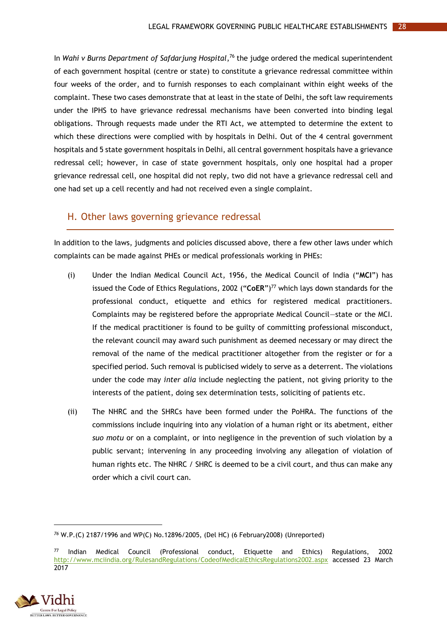In *Wahi v Burns Department of Safdarjung Hospital*, <sup>76</sup> the judge ordered the medical superintendent of each government hospital (centre or state) to constitute a grievance redressal committee within four weeks of the order, and to furnish responses to each complainant within eight weeks of the complaint. These two cases demonstrate that at least in the state of Delhi, the soft law requirements under the IPHS to have grievance redressal mechanisms have been converted into binding legal obligations. Through requests made under the RTI Act, we attempted to determine the extent to which these directions were complied with by hospitals in Delhi. Out of the 4 central government hospitals and 5 state government hospitals in Delhi, all central government hospitals have a grievance redressal cell; however, in case of state government hospitals, only one hospital had a proper grievance redressal cell, one hospital did not reply, two did not have a grievance redressal cell and one had set up a cell recently and had not received even a single complaint.

#### <span id="page-32-0"></span>H. Other laws governing grievance redressal

In addition to the laws, judgments and policies discussed above, there a few other laws under which complaints can be made against PHEs or medical professionals working in PHEs:

- (i) Under the Indian Medical Council Act, 1956, the Medical Council of India ("**MCI**") has issued the Code of Ethics Regulations, 2002 ("**CoER**")<sup>77</sup> which lays down standards for the professional conduct, etiquette and ethics for registered medical practitioners. Complaints may be registered before the appropriate Medical Council—state or the MCI. If the medical practitioner is found to be guilty of committing professional misconduct, the relevant council may award such punishment as deemed necessary or may direct the removal of the name of the medical practitioner altogether from the register or for a specified period. Such removal is publicised widely to serve as a deterrent. The violations under the code may *inter alia* include neglecting the patient, not giving priority to the interests of the patient, doing sex determination tests, soliciting of patients etc.
- (ii) The NHRC and the SHRCs have been formed under the PoHRA. The functions of the commissions include inquiring into any violation of a human right or its abetment, either *suo motu* or on a complaint, or into negligence in the prevention of such violation by a public servant; intervening in any proceeding involving any allegation of violation of human rights etc. The NHRC / SHRC is deemed to be a civil court, and thus can make any order which a civil court can.

<sup>77</sup> Indian Medical Council (Professional conduct, Etiquette and Ethics) Regulations, 2002 <http://www.mciindia.org/RulesandRegulations/CodeofMedicalEthicsRegulations2002.aspx> accessed 23 March 2017



*<sup>76</sup>* W.P.(C) 2187/1996 and WP(C) No.12896/2005, (Del HC) (6 February2008) (Unreported)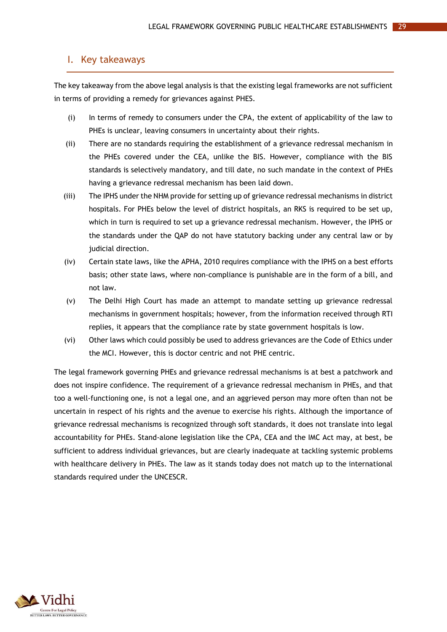### <span id="page-33-0"></span>I. Key takeaways

The key takeaway from the above legal analysis is that the existing legal frameworks are not sufficient in terms of providing a remedy for grievances against PHES.

- (i) In terms of remedy to consumers under the CPA, the extent of applicability of the law to PHEs is unclear, leaving consumers in uncertainty about their rights.
- (ii) There are no standards requiring the establishment of a grievance redressal mechanism in the PHEs covered under the CEA, unlike the BIS. However, compliance with the BIS standards is selectively mandatory, and till date, no such mandate in the context of PHEs having a grievance redressal mechanism has been laid down.
- (iii) The IPHS under the NHM provide for setting up of grievance redressal mechanisms in district hospitals. For PHEs below the level of district hospitals, an RKS is required to be set up, which in turn is required to set up a grievance redressal mechanism. However, the IPHS or the standards under the QAP do not have statutory backing under any central law or by judicial direction.
- (iv) Certain state laws, like the APHA, 2010 requires compliance with the IPHS on a best efforts basis; other state laws, where non-compliance is punishable are in the form of a bill, and not law.
- (v) The Delhi High Court has made an attempt to mandate setting up grievance redressal mechanisms in government hospitals; however, from the information received through RTI replies, it appears that the compliance rate by state government hospitals is low.
- (vi) Other laws which could possibly be used to address grievances are the Code of Ethics under the MCI. However, this is doctor centric and not PHE centric.

The legal framework governing PHEs and grievance redressal mechanisms is at best a patchwork and does not inspire confidence. The requirement of a grievance redressal mechanism in PHEs, and that too a well-functioning one, is not a legal one, and an aggrieved person may more often than not be uncertain in respect of his rights and the avenue to exercise his rights. Although the importance of grievance redressal mechanisms is recognized through soft standards, it does not translate into legal accountability for PHEs. Stand-alone legislation like the CPA, CEA and the IMC Act may, at best, be sufficient to address individual grievances, but are clearly inadequate at tackling systemic problems with healthcare delivery in PHEs. The law as it stands today does not match up to the international standards required under the UNCESCR.

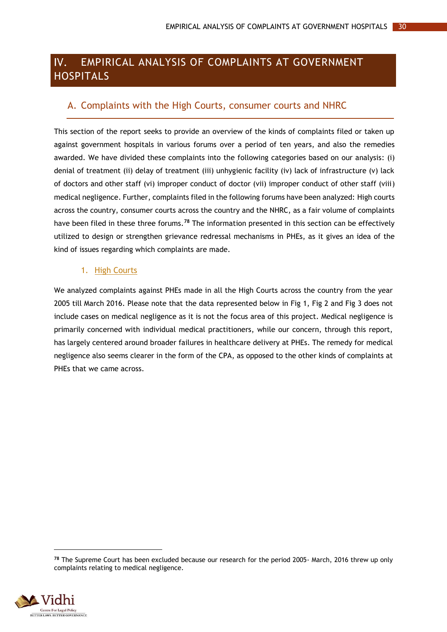#### <span id="page-34-0"></span> $W_{\star}$ EMPIRICAL ANALYSIS OF COMPLAINTS AT GOVERNMENT **HOSPITALS**

# <span id="page-34-1"></span>A. Complaints with the High Courts, consumer courts and NHRC

This section of the report seeks to provide an overview of the kinds of complaints filed or taken up against government hospitals in various forums over a period of ten years, and also the remedies awarded. We have divided these complaints into the following categories based on our analysis: (i) denial of treatment (ii) delay of treatment (iii) unhygienic facility (iv) lack of infrastructure (v) lack of doctors and other staff (vi) improper conduct of doctor (vii) improper conduct of other staff (viii) medical negligence. Further, complaints filed in the following forums have been analyzed: High courts across the country, consumer courts across the country and the NHRC, as a fair volume of complaints have been filed in these three forums.**<sup>78</sup>** The information presented in this section can be effectively utilized to design or strengthen grievance redressal mechanisms in PHEs, as it gives an idea of the kind of issues regarding which complaints are made.

#### 1. High Courts

<span id="page-34-2"></span>We analyzed complaints against PHEs made in all the High Courts across the country from the year 2005 till March 2016. Please note that the data represented below in Fig 1, Fig 2 and Fig 3 does not include cases on medical negligence as it is not the focus area of this project. Medical negligence is primarily concerned with individual medical practitioners, while our concern, through this report, has largely centered around broader failures in healthcare delivery at PHEs. The remedy for medical negligence also seems clearer in the form of the CPA, as opposed to the other kinds of complaints at PHEs that we came across.

**<sup>78</sup>** The Supreme Court has been excluded because our research for the period 2005- March, 2016 threw up only complaints relating to medical negligence.

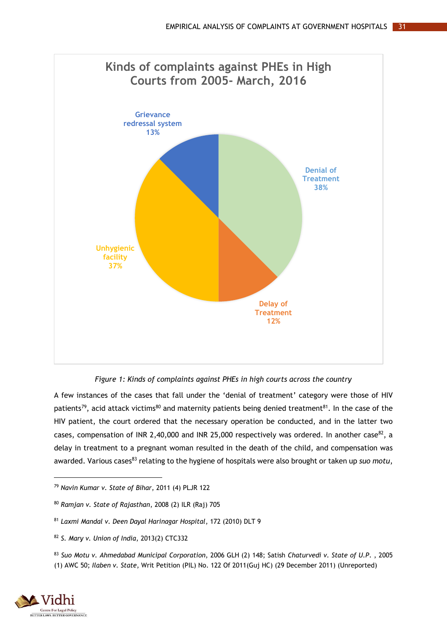

*Figure 1: Kinds of complaints against PHEs in high courts across the country*

<span id="page-35-0"></span>A few instances of the cases that fall under the 'denial of treatment' category were those of HIV patients<sup>79</sup>, acid attack victims<sup>80</sup> and maternity patients being denied treatment<sup>81</sup>. In the case of the HIV patient, the court ordered that the necessary operation be conducted, and in the latter two cases, compensation of INR 2,40,000 and INR 25,000 respectively was ordered. In another case<sup>82</sup>, a delay in treatment to a pregnant woman resulted in the death of the child, and compensation was awarded. Various cases<sup>83</sup> relating to the hygiene of hospitals were also brought or taken up *suo motu*,

<sup>83</sup> *Suo Motu v. Ahmedabad Municipal Corporation*, 2006 GLH (2) 148; Satish *Chaturvedi v. State of U.P*. , 2005 (1) AWC 50; *Ilaben v. State*, Writ Petition (PIL) No. 122 Of 2011(Guj HC) (29 December 2011) (Unreported)



 $\overline{a}$ 

<sup>79</sup> *Navin Kumar v. State of Bihar*, 2011 (4) PLJR 122

<sup>80</sup> *Ramjan v. State of Rajasthan*, 2008 (2) ILR (Raj) 705

<sup>81</sup> *Laxmi Mandal v. Deen Dayal Harinagar Hospital*, 172 (2010) DLT 9

<sup>82</sup> *S. Mary v. Union of India*, 2013(2) CTC332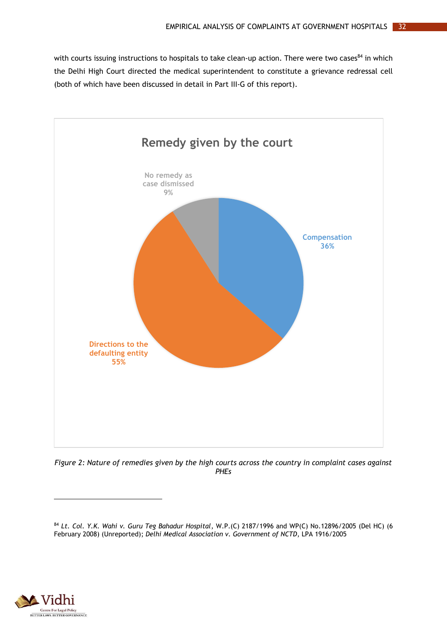with courts issuing instructions to hospitals to take clean-up action. There were two cases<sup>84</sup> in which the Delhi High Court directed the medical superintendent to constitute a grievance redressal cell (both of which have been discussed in detail in Part III-G of this report).



<span id="page-36-0"></span>*Figure 2: Nature of remedies given by the high courts across the country in complaint cases against PHEs*



<sup>84</sup> *Lt. Col. Y.K. Wahi v. Guru Teg Bahadur Hospital*, W.P.(C) 2187/1996 and WP(C) No.12896/2005 (Del HC) (6 February 2008) (Unreported); *Delhi Medical Association v. Government of NCTD*, LPA 1916/2005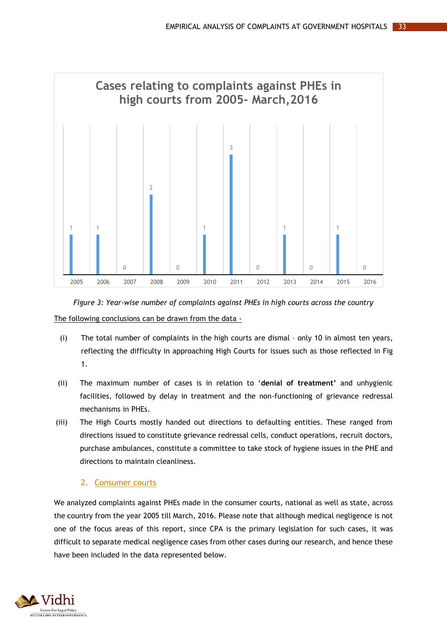

<span id="page-37-1"></span>*Figure 3: Year-wise number of complaints against PHEs in high courts across the country* The following conclusions can be drawn from the data -

- (i) The total number of complaints in the high courts are dismal only 10 in almost ten years, reflecting the difficulty in approaching High Courts for issues such as those reflected in Fig 1.
- (ii) The maximum number of cases is in relation to '**denial of treatment'** and unhygienic facilities, followed by delay in treatment and the non-functioning of grievance redressal mechanisms in PHEs.
- (iii) The High Courts mostly handed out directions to defaulting entities. These ranged from directions issued to constitute grievance redressal cells, conduct operations, recruit doctors, purchase ambulances, constitute a committee to take stock of hygiene issues in the PHE and directions to maintain cleanliness.

### 2. Consumer courts

<span id="page-37-0"></span>We analyzed complaints against PHEs made in the consumer courts, national as well as state, across the country from the year 2005 till March, 2016. Please note that although medical negligence is not one of the focus areas of this report, since CPA is the primary legislation for such cases, it was difficult to separate medical negligence cases from other cases during our research, and hence these have been included in the data represented below.

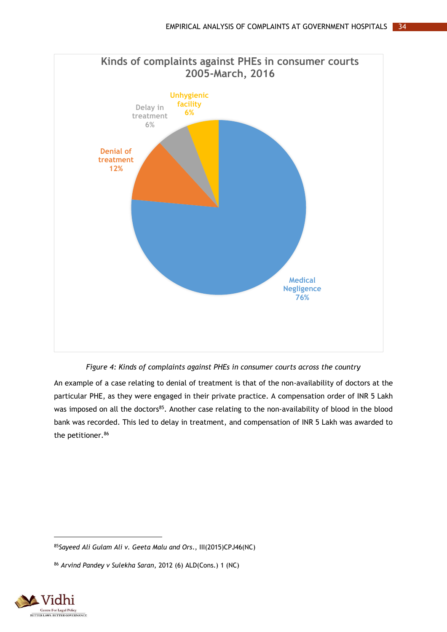



<span id="page-38-0"></span>An example of a case relating to denial of treatment is that of the non-availability of doctors at the particular PHE, as they were engaged in their private practice. A compensation order of INR 5 Lakh was imposed on all the doctors<sup>85</sup>. Another case relating to the non-availability of blood in the blood bank was recorded. This led to delay in treatment, and compensation of INR 5 Lakh was awarded to the petitioner.<sup>86</sup>

<sup>86</sup> *Arvind Pandey v Sulekha Saran*, 2012 (6) ALD(Cons.) 1 (NC)



<sup>85</sup>*Sayeed Ali Gulam Ali v. Geeta Malu and Ors*., III(2015)CPJ46(NC)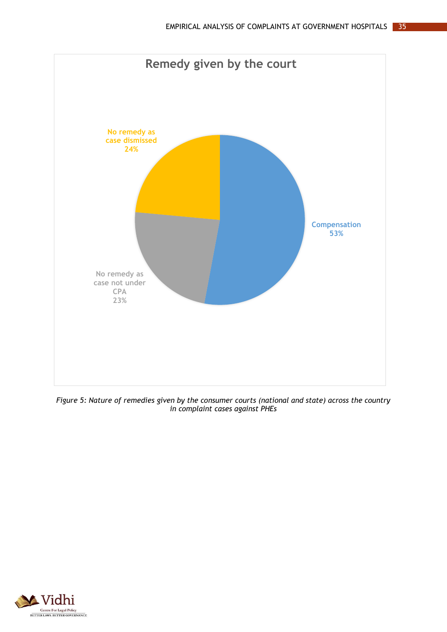

<span id="page-39-0"></span>*Figure 5: Nature of remedies given by the consumer courts (national and state) across the country in complaint cases against PHEs*

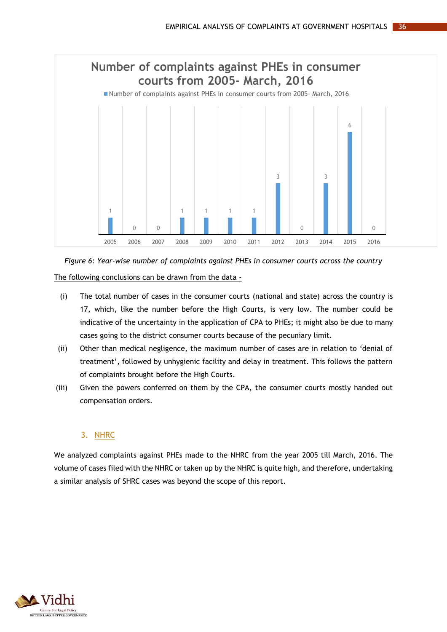

<span id="page-40-1"></span>*Figure 6: Year-wise number of complaints against PHEs in consumer courts across the country* The following conclusions can be drawn from the data -

- (i) The total number of cases in the consumer courts (national and state) across the country is 17, which, like the number before the High Courts, is very low. The number could be indicative of the uncertainty in the application of CPA to PHEs; it might also be due to many cases going to the district consumer courts because of the pecuniary limit.
- (ii) Other than medical negligence, the maximum number of cases are in relation to 'denial of treatment', followed by unhygienic facility and delay in treatment. This follows the pattern of complaints brought before the High Courts.
- (iii) Given the powers conferred on them by the CPA, the consumer courts mostly handed out compensation orders.

#### 3. NHRC

<span id="page-40-0"></span>We analyzed complaints against PHEs made to the NHRC from the year 2005 till March, 2016. The volume of cases filed with the NHRC or taken up by the NHRC is quite high, and therefore, undertaking a similar analysis of SHRC cases was beyond the scope of this report.

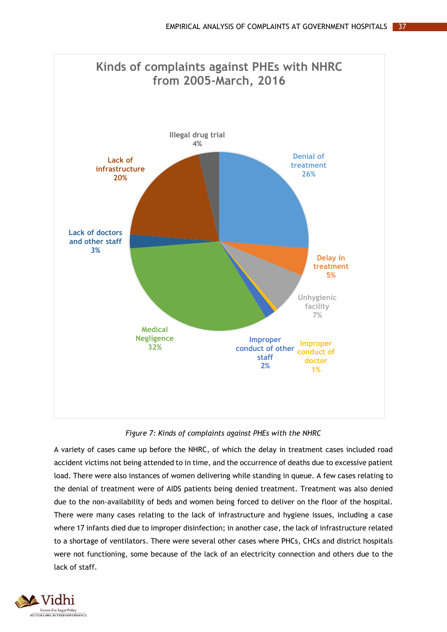

*Figure 7: Kinds of complaints against PHEs with the NHRC*

<span id="page-41-0"></span>A variety of cases came up before the NHRC, of which the delay in treatment cases included road accident victims not being attended to in time, and the occurrence of deaths due to excessive patient load. There were also instances of women delivering while standing in queue. A few cases relating to the denial of treatment were of AIDS patients being denied treatment. Treatment was also denied due to the non-availability of beds and women being forced to deliver on the floor of the hospital. There were many cases relating to the lack of infrastructure and hygiene issues, including a case where 17 infants died due to improper disinfection; in another case, the lack of infrastructure related to a shortage of ventilators. There were several other cases where PHCs, CHCs and district hospitals were not functioning, some because of the lack of an electricity connection and others due to the lack of staff.

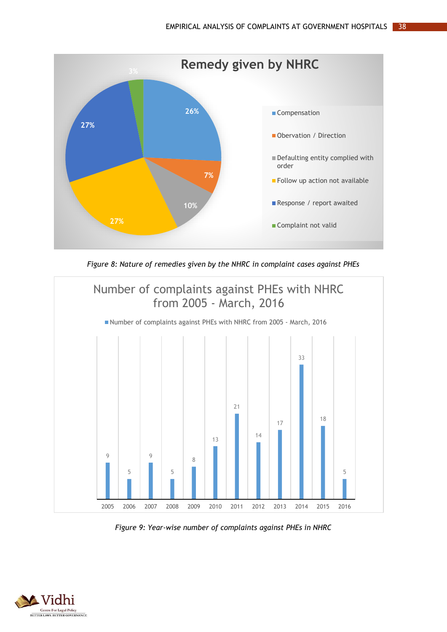

*Figure 8: Nature of remedies given by the NHRC in complaint cases against PHEs*

<span id="page-42-0"></span>

<span id="page-42-1"></span>*Figure 9: Year-wise number of complaints against PHEs in NHRC*

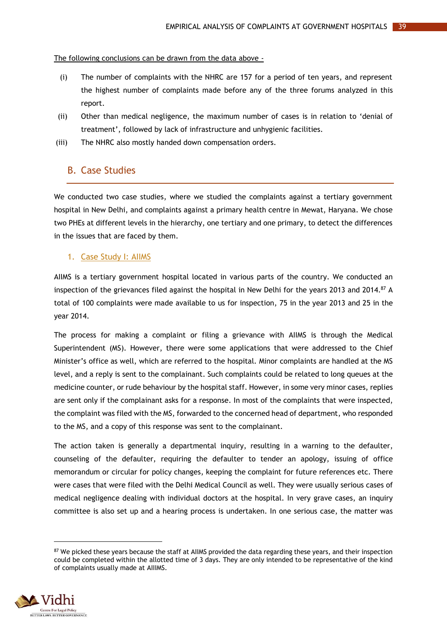#### The following conclusions can be drawn from the data above -

- (i) The number of complaints with the NHRC are 157 for a period of ten years, and represent the highest number of complaints made before any of the three forums analyzed in this report.
- (ii) Other than medical negligence, the maximum number of cases is in relation to 'denial of treatment', followed by lack of infrastructure and unhygienic facilities.
- <span id="page-43-0"></span>(iii) The NHRC also mostly handed down compensation orders.

## B. Case Studies

We conducted two case studies, where we studied the complaints against a tertiary government hospital in New Delhi, and complaints against a primary health centre in Mewat, Haryana. We chose two PHEs at different levels in the hierarchy, one tertiary and one primary, to detect the differences in the issues that are faced by them.

#### <span id="page-43-1"></span>1. Case Study I: AIIMS

AIIMS is a tertiary government hospital located in various parts of the country. We conducted an inspection of the grievances filed against the hospital in New Delhi for the years 2013 and 2014.<sup>87</sup> A total of 100 complaints were made available to us for inspection, 75 in the year 2013 and 25 in the year 2014.

The process for making a complaint or filing a grievance with AIIMS is through the Medical Superintendent (MS). However, there were some applications that were addressed to the Chief Minister's office as well, which are referred to the hospital. Minor complaints are handled at the MS level, and a reply is sent to the complainant. Such complaints could be related to long queues at the medicine counter, or rude behaviour by the hospital staff. However, in some very minor cases, replies are sent only if the complainant asks for a response. In most of the complaints that were inspected, the complaint was filed with the MS, forwarded to the concerned head of department, who responded to the MS, and a copy of this response was sent to the complainant.

The action taken is generally a departmental inquiry, resulting in a warning to the defaulter, counseling of the defaulter, requiring the defaulter to tender an apology, issuing of office memorandum or circular for policy changes, keeping the complaint for future references etc. There were cases that were filed with the Delhi Medical Council as well. They were usually serious cases of medical negligence dealing with individual doctors at the hospital. In very grave cases, an inquiry committee is also set up and a hearing process is undertaken. In one serious case, the matter was

<sup>&</sup>lt;sup>87</sup> We picked these years because the staff at AIIMS provided the data regarding these years, and their inspection could be completed within the allotted time of 3 days. They are only intended to be representative of the kind of complaints usually made at AIIIMS.

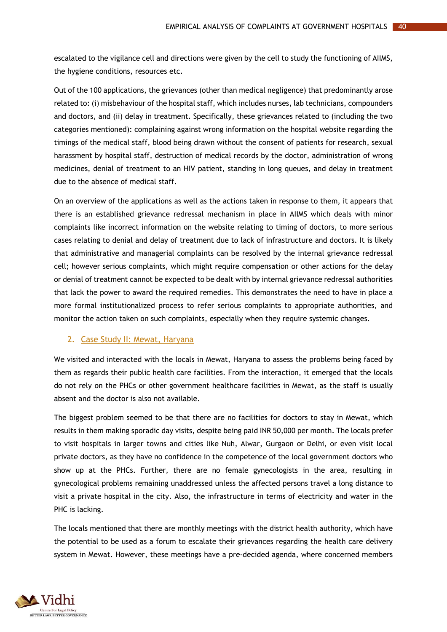escalated to the vigilance cell and directions were given by the cell to study the functioning of AIIMS, the hygiene conditions, resources etc.

Out of the 100 applications, the grievances (other than medical negligence) that predominantly arose related to: (i) misbehaviour of the hospital staff, which includes nurses, lab technicians, compounders and doctors, and (ii) delay in treatment. Specifically, these grievances related to (including the two categories mentioned): complaining against wrong information on the hospital website regarding the timings of the medical staff, blood being drawn without the consent of patients for research, sexual harassment by hospital staff, destruction of medical records by the doctor, administration of wrong medicines, denial of treatment to an HIV patient, standing in long queues, and delay in treatment due to the absence of medical staff.

On an overview of the applications as well as the actions taken in response to them, it appears that there is an established grievance redressal mechanism in place in AIIMS which deals with minor complaints like incorrect information on the website relating to timing of doctors, to more serious cases relating to denial and delay of treatment due to lack of infrastructure and doctors. It is likely that administrative and managerial complaints can be resolved by the internal grievance redressal cell; however serious complaints, which might require compensation or other actions for the delay or denial of treatment cannot be expected to be dealt with by internal grievance redressal authorities that lack the power to award the required remedies. This demonstrates the need to have in place a more formal institutionalized process to refer serious complaints to appropriate authorities, and monitor the action taken on such complaints, especially when they require systemic changes.

#### <span id="page-44-0"></span>2. Case Study II: Mewat, Haryana

We visited and interacted with the locals in Mewat, Haryana to assess the problems being faced by them as regards their public health care facilities. From the interaction, it emerged that the locals do not rely on the PHCs or other government healthcare facilities in Mewat, as the staff is usually absent and the doctor is also not available.

The biggest problem seemed to be that there are no facilities for doctors to stay in Mewat, which results in them making sporadic day visits, despite being paid INR 50,000 per month. The locals prefer to visit hospitals in larger towns and cities like Nuh, Alwar, Gurgaon or Delhi, or even visit local private doctors, as they have no confidence in the competence of the local government doctors who show up at the PHCs. Further, there are no female gynecologists in the area, resulting in gynecological problems remaining unaddressed unless the affected persons travel a long distance to visit a private hospital in the city. Also, the infrastructure in terms of electricity and water in the PHC is lacking.

The locals mentioned that there are monthly meetings with the district health authority, which have the potential to be used as a forum to escalate their grievances regarding the health care delivery system in Mewat. However, these meetings have a pre-decided agenda, where concerned members

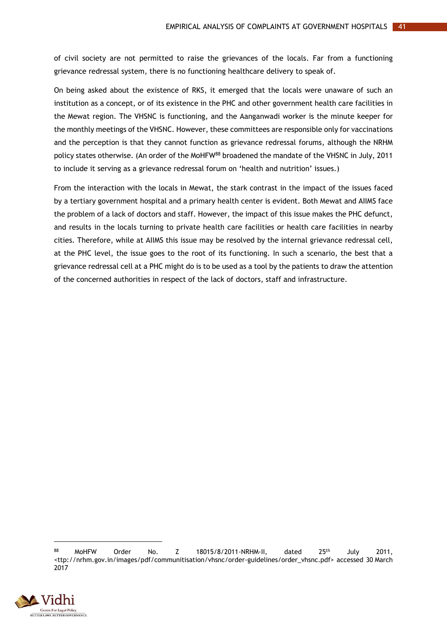of civil society are not permitted to raise the grievances of the locals. Far from a functioning grievance redressal system, there is no functioning healthcare delivery to speak of.

On being asked about the existence of RKS, it emerged that the locals were unaware of such an institution as a concept, or of its existence in the PHC and other government health care facilities in the Mewat region. The VHSNC is functioning, and the Aanganwadi worker is the minute keeper for the monthly meetings of the VHSNC. However, these committees are responsible only for vaccinations and the perception is that they cannot function as grievance redressal forums, although the NRHM policy states otherwise. (An order of the MoHFW<sup>88</sup> broadened the mandate of the VHSNC in July, 2011 to include it serving as a grievance redressal forum on 'health and nutrition' issues.)

From the interaction with the locals in Mewat, the stark contrast in the impact of the issues faced by a tertiary government hospital and a primary health center is evident. Both Mewat and AIIMS face the problem of a lack of doctors and staff. However, the impact of this issue makes the PHC defunct, and results in the locals turning to private health care facilities or health care facilities in nearby cities. Therefore, while at AIIMS this issue may be resolved by the internal grievance redressal cell, at the PHC level, the issue goes to the root of its functioning. In such a scenario, the best that a grievance redressal cell at a PHC might do is to be used as a tool by the patients to draw the attention of the concerned authorities in respect of the lack of doctors, staff and infrastructure.

 $88$  MoHFW Order No. Z 18015/8/2011-NRHM-II, dated  $25$ <sup>th</sup> July 2011, <ttp://nrhm.gov.in/images/pdf/communitisation/vhsnc/order-guidelines/order\_vhsnc.pdf> accessed 30 March 2017

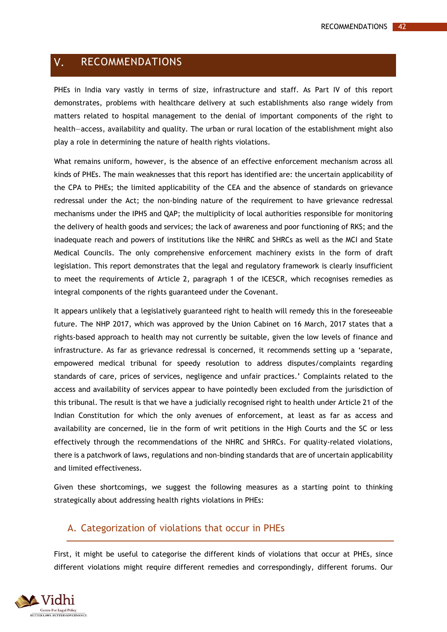#### <span id="page-46-0"></span> $V_{\star}$ RECOMMENDATIONS

PHEs in India vary vastly in terms of size, infrastructure and staff. As Part IV of this report demonstrates, problems with healthcare delivery at such establishments also range widely from matters related to hospital management to the denial of important components of the right to health—access, availability and quality. The urban or rural location of the establishment might also play a role in determining the nature of health rights violations.

What remains uniform, however, is the absence of an effective enforcement mechanism across all kinds of PHEs. The main weaknesses that this report has identified are: the uncertain applicability of the CPA to PHEs; the limited applicability of the CEA and the absence of standards on grievance redressal under the Act; the non-binding nature of the requirement to have grievance redressal mechanisms under the IPHS and QAP; the multiplicity of local authorities responsible for monitoring the delivery of health goods and services; the lack of awareness and poor functioning of RKS; and the inadequate reach and powers of institutions like the NHRC and SHRCs as well as the MCI and State Medical Councils. The only comprehensive enforcement machinery exists in the form of draft legislation. This report demonstrates that the legal and regulatory framework is clearly insufficient to meet the requirements of Article 2, paragraph 1 of the ICESCR, which recognises remedies as integral components of the rights guaranteed under the Covenant.

It appears unlikely that a legislatively guaranteed right to health will remedy this in the foreseeable future. The NHP 2017, which was approved by the Union Cabinet on 16 March, 2017 states that a rights-based approach to health may not currently be suitable, given the low levels of finance and infrastructure. As far as grievance redressal is concerned, it recommends setting up a 'separate, empowered medical tribunal for speedy resolution to address disputes/complaints regarding standards of care, prices of services, negligence and unfair practices.' Complaints related to the access and availability of services appear to have pointedly been excluded from the jurisdiction of this tribunal. The result is that we have a judicially recognised right to health under Article 21 of the Indian Constitution for which the only avenues of enforcement, at least as far as access and availability are concerned, lie in the form of writ petitions in the High Courts and the SC or less effectively through the recommendations of the NHRC and SHRCs. For quality-related violations, there is a patchwork of laws, regulations and non-binding standards that are of uncertain applicability and limited effectiveness.

Given these shortcomings, we suggest the following measures as a starting point to thinking strategically about addressing health rights violations in PHEs:

### <span id="page-46-1"></span>A. Categorization of violations that occur in PHEs

First, it might be useful to categorise the different kinds of violations that occur at PHEs, since different violations might require different remedies and correspondingly, different forums. Our

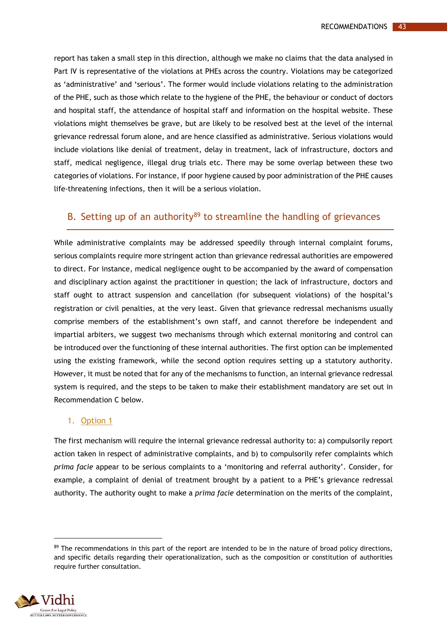report has taken a small step in this direction, although we make no claims that the data analysed in Part IV is representative of the violations at PHEs across the country. Violations may be categorized as 'administrative' and 'serious'. The former would include violations relating to the administration of the PHE, such as those which relate to the hygiene of the PHE, the behaviour or conduct of doctors and hospital staff, the attendance of hospital staff and information on the hospital website. These violations might themselves be grave, but are likely to be resolved best at the level of the internal grievance redressal forum alone, and are hence classified as administrative. Serious violations would include violations like denial of treatment, delay in treatment, lack of infrastructure, doctors and staff, medical negligence, illegal drug trials etc. There may be some overlap between these two categories of violations. For instance, if poor hygiene caused by poor administration of the PHE causes life-threatening infections, then it will be a serious violation.

## <span id="page-47-0"></span>B. Setting up of an authority $89$  to streamline the handling of grievances

While administrative complaints may be addressed speedily through internal complaint forums, serious complaints require more stringent action than grievance redressal authorities are empowered to direct. For instance, medical negligence ought to be accompanied by the award of compensation and disciplinary action against the practitioner in question; the lack of infrastructure, doctors and staff ought to attract suspension and cancellation (for subsequent violations) of the hospital's registration or civil penalties, at the very least. Given that grievance redressal mechanisms usually comprise members of the establishment's own staff, and cannot therefore be independent and impartial arbiters, we suggest two mechanisms through which external monitoring and control can be introduced over the functioning of these internal authorities. The first option can be implemented using the existing framework, while the second option requires setting up a statutory authority. However, it must be noted that for any of the mechanisms to function, an internal grievance redressal system is required, and the steps to be taken to make their establishment mandatory are set out in Recommendation C below.

#### <span id="page-47-1"></span>1. Option 1

The first mechanism will require the internal grievance redressal authority to: a) compulsorily report action taken in respect of administrative complaints, and b) to compulsorily refer complaints which *prima facie* appear to be serious complaints to a 'monitoring and referral authority'. Consider, for example, a complaint of denial of treatment brought by a patient to a PHE's grievance redressal authority. The authority ought to make a *prima facie* determination on the merits of the complaint,

<sup>89</sup> The recommendations in this part of the report are intended to be in the nature of broad policy directions, and specific details regarding their operationalization, such as the composition or constitution of authorities require further consultation.



 $\overline{a}$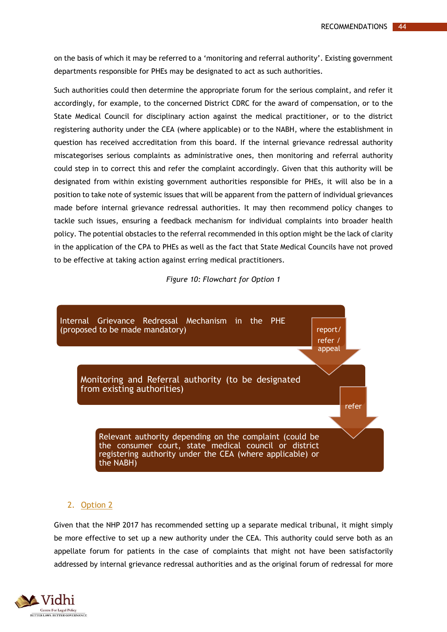on the basis of which it may be referred to a 'monitoring and referral authority'. Existing government departments responsible for PHEs may be designated to act as such authorities.

Such authorities could then determine the appropriate forum for the serious complaint, and refer it accordingly, for example, to the concerned District CDRC for the award of compensation, or to the State Medical Council for disciplinary action against the medical practitioner, or to the district registering authority under the CEA (where applicable) or to the NABH, where the establishment in question has received accreditation from this board. If the internal grievance redressal authority miscategorises serious complaints as administrative ones, then monitoring and referral authority could step in to correct this and refer the complaint accordingly. Given that this authority will be designated from within existing government authorities responsible for PHEs, it will also be in a position to take note of systemic issues that will be apparent from the pattern of individual grievances made before internal grievance redressal authorities. It may then recommend policy changes to tackle such issues, ensuring a feedback mechanism for individual complaints into broader health policy. The potential obstacles to the referral recommended in this option might be the lack of clarity in the application of the CPA to PHEs as well as the fact that State Medical Councils have not proved to be effective at taking action against erring medical practitioners.

*Figure 10: Flowchart for Option 1*

<span id="page-48-1"></span>

#### <span id="page-48-0"></span>2. Option 2

Given that the NHP 2017 has recommended setting up a separate medical tribunal, it might simply be more effective to set up a new authority under the CEA. This authority could serve both as an appellate forum for patients in the case of complaints that might not have been satisfactorily addressed by internal grievance redressal authorities and as the original forum of redressal for more

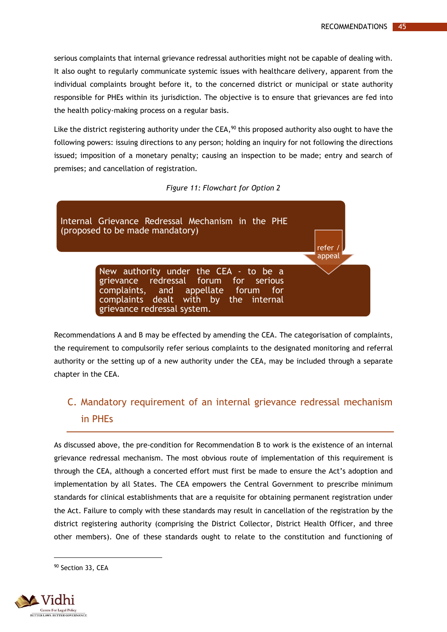serious complaints that internal grievance redressal authorities might not be capable of dealing with. It also ought to regularly communicate systemic issues with healthcare delivery, apparent from the individual complaints brought before it, to the concerned district or municipal or state authority responsible for PHEs within its jurisdiction. The objective is to ensure that grievances are fed into the health policy-making process on a regular basis.

Like the district registering authority under the CEA, $^{90}$  this proposed authority also ought to have the following powers: issuing directions to any person; holding an inquiry for not following the directions issued; imposition of a monetary penalty; causing an inspection to be made; entry and search of premises; and cancellation of registration.

#### *Figure 11: Flowchart for Option 2*

<span id="page-49-1"></span>

Recommendations A and B may be effected by amending the CEA. The categorisation of complaints, the requirement to compulsorily refer serious complaints to the designated monitoring and referral authority or the setting up of a new authority under the CEA, may be included through a separate chapter in the CEA.

# <span id="page-49-0"></span>C. Mandatory requirement of an internal grievance redressal mechanism in PHEs

As discussed above, the pre-condition for Recommendation B to work is the existence of an internal grievance redressal mechanism. The most obvious route of implementation of this requirement is through the CEA, although a concerted effort must first be made to ensure the Act's adoption and implementation by all States. The CEA empowers the Central Government to prescribe minimum standards for clinical establishments that are a requisite for obtaining permanent registration under the Act. Failure to comply with these standards may result in cancellation of the registration by the district registering authority (comprising the District Collector, District Health Officer, and three other members). One of these standards ought to relate to the constitution and functioning of

<sup>90</sup> Section 33, CEA

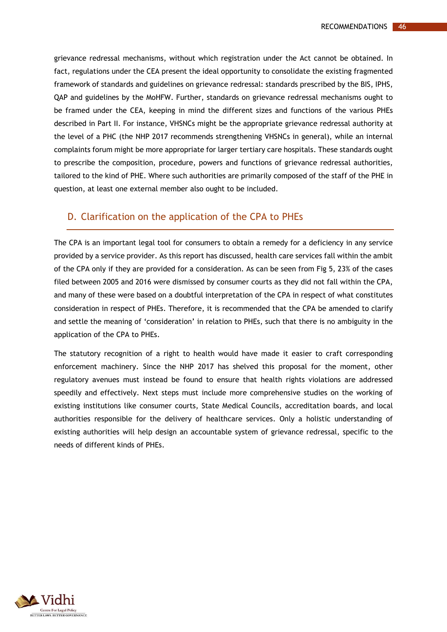grievance redressal mechanisms, without which registration under the Act cannot be obtained. In fact, regulations under the CEA present the ideal opportunity to consolidate the existing fragmented framework of standards and guidelines on grievance redressal: standards prescribed by the BIS, IPHS, QAP and guidelines by the MoHFW. Further, standards on grievance redressal mechanisms ought to be framed under the CEA, keeping in mind the different sizes and functions of the various PHEs described in Part II. For instance, VHSNCs might be the appropriate grievance redressal authority at the level of a PHC (the NHP 2017 recommends strengthening VHSNCs in general), while an internal complaints forum might be more appropriate for larger tertiary care hospitals. These standards ought to prescribe the composition, procedure, powers and functions of grievance redressal authorities, tailored to the kind of PHE. Where such authorities are primarily composed of the staff of the PHE in question, at least one external member also ought to be included.

### <span id="page-50-0"></span>D. Clarification on the application of the CPA to PHEs

The CPA is an important legal tool for consumers to obtain a remedy for a deficiency in any service provided by a service provider. As this report has discussed, health care services fall within the ambit of the CPA only if they are provided for a consideration. As can be seen from Fig 5, 23% of the cases filed between 2005 and 2016 were dismissed by consumer courts as they did not fall within the CPA, and many of these were based on a doubtful interpretation of the CPA in respect of what constitutes consideration in respect of PHEs. Therefore, it is recommended that the CPA be amended to clarify and settle the meaning of 'consideration' in relation to PHEs, such that there is no ambiguity in the application of the CPA to PHEs.

The statutory recognition of a right to health would have made it easier to craft corresponding enforcement machinery. Since the NHP 2017 has shelved this proposal for the moment, other regulatory avenues must instead be found to ensure that health rights violations are addressed speedily and effectively. Next steps must include more comprehensive studies on the working of existing institutions like consumer courts, State Medical Councils, accreditation boards, and local authorities responsible for the delivery of healthcare services. Only a holistic understanding of existing authorities will help design an accountable system of grievance redressal, specific to the needs of different kinds of PHEs.

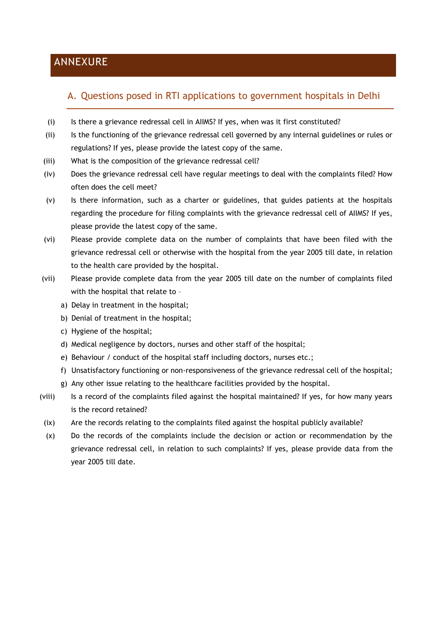# <span id="page-51-0"></span>ANNEXURE

# <span id="page-51-1"></span>A. Questions posed in RTI applications to government hospitals in Delhi

- (i) Is there a grievance redressal cell in AIIMS? If yes, when was it first constituted?
- (ii) Is the functioning of the grievance redressal cell governed by any internal guidelines or rules or regulations? If yes, please provide the latest copy of the same.
- (iii) What is the composition of the grievance redressal cell?
- (iv) Does the grievance redressal cell have regular meetings to deal with the complaints filed? How often does the cell meet?
- (v) Is there information, such as a charter or guidelines, that guides patients at the hospitals regarding the procedure for filing complaints with the grievance redressal cell of AIIMS? If yes, please provide the latest copy of the same.
- (vi) Please provide complete data on the number of complaints that have been filed with the grievance redressal cell or otherwise with the hospital from the year 2005 till date, in relation to the health care provided by the hospital.
- (vii) Please provide complete data from the year 2005 till date on the number of complaints filed with the hospital that relate to –
	- a) Delay in treatment in the hospital;
	- b) Denial of treatment in the hospital;
	- c) Hygiene of the hospital;
	- d) Medical negligence by doctors, nurses and other staff of the hospital;
	- e) Behaviour / conduct of the hospital staff including doctors, nurses etc.;
	- f) Unsatisfactory functioning or non-responsiveness of the grievance redressal cell of the hospital;
	- g) Any other issue relating to the healthcare facilities provided by the hospital.
- (viii) Is a record of the complaints filed against the hospital maintained? If yes, for how many years is the record retained?
- (ix) Are the records relating to the complaints filed against the hospital publicly available?
- (x) Do the records of the complaints include the decision or action or recommendation by the grievance redressal cell, in relation to such complaints? If yes, please provide data from the year 2005 till date.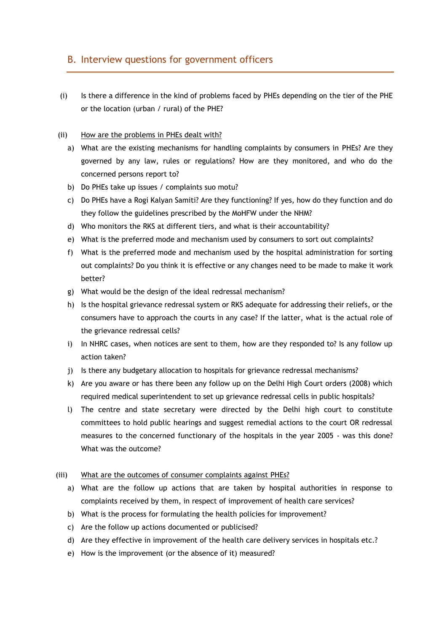# <span id="page-52-0"></span>B. Interview questions for government officers

(i) Is there a difference in the kind of problems faced by PHEs depending on the tier of the PHE or the location (urban / rural) of the PHE?

#### (ii) How are the problems in PHEs dealt with?

- a) What are the existing mechanisms for handling complaints by consumers in PHEs? Are they governed by any law, rules or regulations? How are they monitored, and who do the concerned persons report to?
- b) Do PHEs take up issues / complaints suo motu?
- c) Do PHEs have a Rogi Kalyan Samiti? Are they functioning? If yes, how do they function and do they follow the guidelines prescribed by the MoHFW under the NHM?
- d) Who monitors the RKS at different tiers, and what is their accountability?
- e) What is the preferred mode and mechanism used by consumers to sort out complaints?
- f) What is the preferred mode and mechanism used by the hospital administration for sorting out complaints? Do you think it is effective or any changes need to be made to make it work better?
- g) What would be the design of the ideal redressal mechanism?
- h) Is the hospital grievance redressal system or RKS adequate for addressing their reliefs, or the consumers have to approach the courts in any case? If the latter, what is the actual role of the grievance redressal cells?
- i) In NHRC cases, when notices are sent to them, how are they responded to? Is any follow up action taken?
- j) Is there any budgetary allocation to hospitals for grievance redressal mechanisms?
- k) Are you aware or has there been any follow up on the Delhi High Court orders (2008) which required medical superintendent to set up grievance redressal cells in public hospitals?
- l) The centre and state secretary were directed by the Delhi high court to constitute committees to hold public hearings and suggest remedial actions to the court OR redressal measures to the concerned functionary of the hospitals in the year 2005 - was this done? What was the outcome?

#### (iii) What are the outcomes of consumer complaints against PHEs?

- a) What are the follow up actions that are taken by hospital authorities in response to complaints received by them, in respect of improvement of health care services?
- b) What is the process for formulating the health policies for improvement?
- c) Are the follow up actions documented or publicised?
- d) Are they effective in improvement of the health care delivery services in hospitals etc.?
- e) How is the improvement (or the absence of it) measured?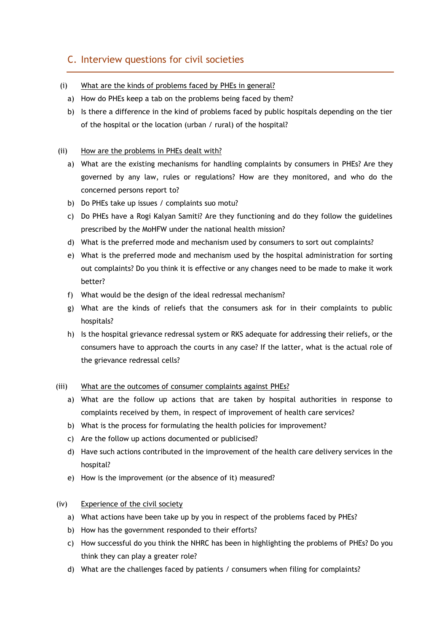# <span id="page-53-0"></span>C. Interview questions for civil societies

- (i) What are the kinds of problems faced by PHEs in general?
	- a) How do PHEs keep a tab on the problems being faced by them?
	- b) Is there a difference in the kind of problems faced by public hospitals depending on the tier of the hospital or the location (urban / rural) of the hospital?

#### (ii) How are the problems in PHEs dealt with?

- a) What are the existing mechanisms for handling complaints by consumers in PHEs? Are they governed by any law, rules or regulations? How are they monitored, and who do the concerned persons report to?
- b) Do PHEs take up issues / complaints suo motu?
- c) Do PHEs have a Rogi Kalyan Samiti? Are they functioning and do they follow the guidelines prescribed by the MoHFW under the national health mission?
- d) What is the preferred mode and mechanism used by consumers to sort out complaints?
- e) What is the preferred mode and mechanism used by the hospital administration for sorting out complaints? Do you think it is effective or any changes need to be made to make it work better?
- f) What would be the design of the ideal redressal mechanism?
- g) What are the kinds of reliefs that the consumers ask for in their complaints to public hospitals?
- h) Is the hospital grievance redressal system or RKS adequate for addressing their reliefs, or the consumers have to approach the courts in any case? If the latter, what is the actual role of the grievance redressal cells?

#### (iii) What are the outcomes of consumer complaints against PHEs?

- a) What are the follow up actions that are taken by hospital authorities in response to complaints received by them, in respect of improvement of health care services?
- b) What is the process for formulating the health policies for improvement?
- c) Are the follow up actions documented or publicised?
- d) Have such actions contributed in the improvement of the health care delivery services in the hospital?
- e) How is the improvement (or the absence of it) measured?

### (iv) Experience of the civil society

- a) What actions have been take up by you in respect of the problems faced by PHEs?
- b) How has the government responded to their efforts?
- c) How successful do you think the NHRC has been in highlighting the problems of PHEs? Do you think they can play a greater role?
- d) What are the challenges faced by patients / consumers when filing for complaints?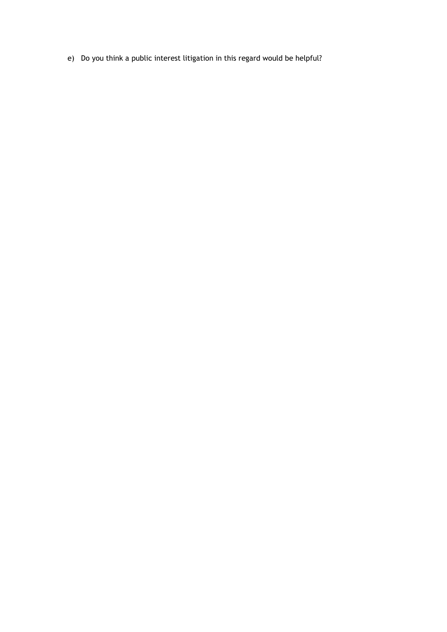e) Do you think a public interest litigation in this regard would be helpful?